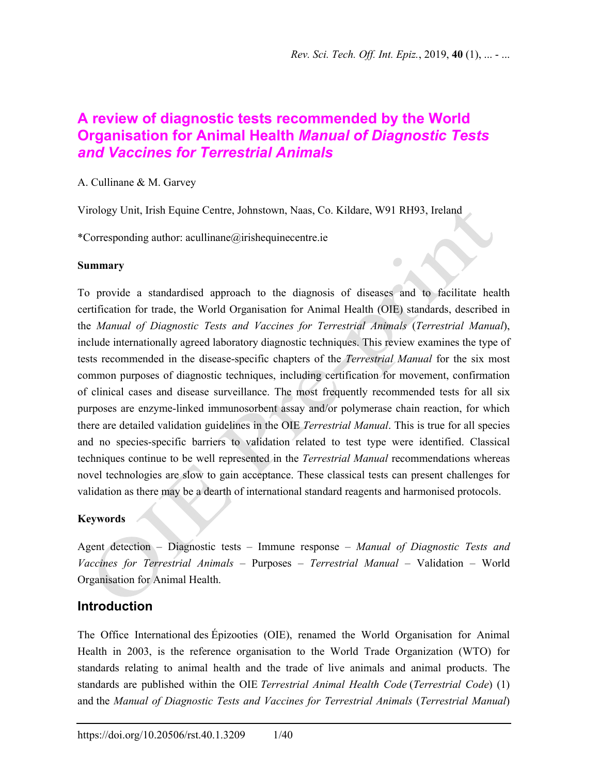$\bullet$ 

# **A review of diagnostic tests recommended by the World Organisation for Animal Health** *Manual of Diagnostic Tests and Vaccines for Terrestrial Animals*

A. Cullinane & M. Garvey

Virology Unit, Irish Equine Centre, Johnstown, Naas, Co. Kildare, W91 RH93, Ireland

\*Corresponding author: acullinane@irishequinecentre.ie

### **Summary**

To provide a standardised approach to the diagnosis of diseases and to facilitate health certification for trade, the World Organisation for Animal Health (OIE) standards, described in the *Manual of Diagnostic Tests and Vaccines for Terrestrial Animals* (*Terrestrial Manual*), include internationally agreed laboratory diagnostic techniques. This review examines the type of tests recommended in the disease-specific chapters of the *Terrestrial Manual* for the six most common purposes of diagnostic techniques, including certification for movement, confirmation of clinical cases and disease surveillance. The most frequently recommended tests for all six purposes are enzyme-linked immunosorbent assay and/or polymerase chain reaction, for which there are detailed validation guidelines in the OIE *Terrestrial Manual*. This is true for all species and no species-specific barriers to validation related to test type were identified. Classical techniques continue to be well represented in the *Terrestrial Manual* recommendations whereas novel technologies are slow to gain acceptance. These classical tests can present challenges for validation as there may be a dearth of international standard reagents and harmonised protocols.

## **Keywords**

Agent detection – Diagnostic tests – Immune response – *Manual of Diagnostic Tests and Vaccines for Terrestrial Animals* – Purposes – *Terrestrial Manual* – Validation – World Organisation for Animal Health.

# **Introduction**

The Office International des Épizooties (OIE), renamed the World Organisation for Animal Health in 2003, is the reference organisation to the World Trade Organization (WTO) for standards relating to animal health and the trade of live animals and animal products. The standards are published within the OIE *Terrestrial Animal Health Code* (*Terrestrial Code*) (1) and the *Manual of Diagnostic Tests and Vaccines for Terrestrial Animals* (*Terrestrial Manual*)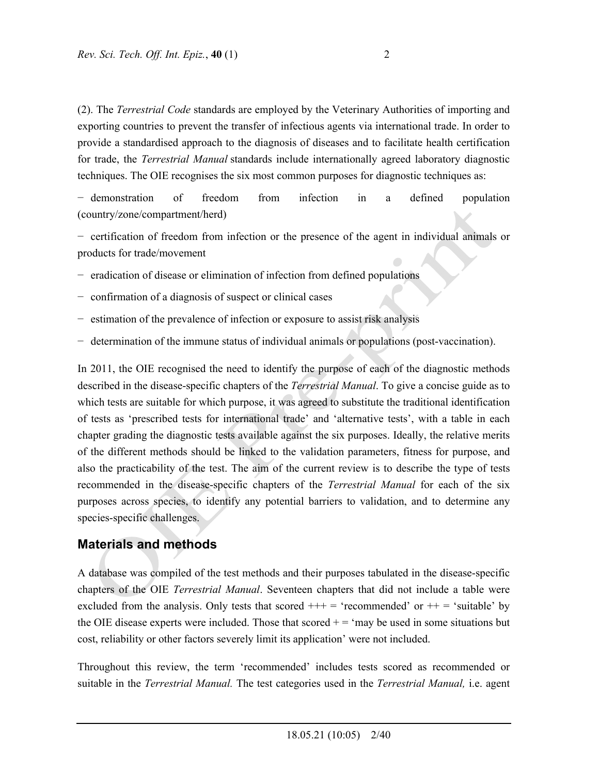(2). The *Terrestrial Code* standards are employed by the Veterinary Authorities of importing and exporting countries to prevent the transfer of infectious agents via international trade. In order to provide a standardised approach to the diagnosis of diseases and to facilitate health certification for trade, the *Terrestrial Manual* standards include internationally agreed laboratory diagnostic techniques. The OIE recognises the six most common purposes for diagnostic techniques as:

− demonstration of freedom from infection in a defined population (country/zone/compartment/herd)

− certification of freedom from infection or the presence of the agent in individual animals or products for trade/movement

- − eradication of disease or elimination of infection from defined populations
- − confirmation of a diagnosis of suspect or clinical cases
- − estimation of the prevalence of infection or exposure to assist risk analysis
- − determination of the immune status of individual animals or populations (post-vaccination).

In 2011, the OIE recognised the need to identify the purpose of each of the diagnostic methods described in the disease-specific chapters of the *Terrestrial Manual*. To give a concise guide as to which tests are suitable for which purpose, it was agreed to substitute the traditional identification of tests as 'prescribed tests for international trade' and 'alternative tests', with a table in each chapter grading the diagnostic tests available against the six purposes. Ideally, the relative merits of the different methods should be linked to the validation parameters, fitness for purpose, and also the practicability of the test. The aim of the current review is to describe the type of tests recommended in the disease-specific chapters of the *Terrestrial Manual* for each of the six purposes across species, to identify any potential barriers to validation, and to determine any species-specific challenges.

# **Materials and methods**

A database was compiled of the test methods and their purposes tabulated in the disease-specific chapters of the OIE *Terrestrial Manual*. Seventeen chapters that did not include a table were excluded from the analysis. Only tests that scored  $++=$  'recommended' or  $++=$  'suitable' by the OIE disease experts were included. Those that scored  $+ = \text{ 'may}$  be used in some situations but cost, reliability or other factors severely limit its application' were not included.

Throughout this review, the term 'recommended' includes tests scored as recommended or suitable in the *Terrestrial Manual.* The test categories used in the *Terrestrial Manual,* i.e. agent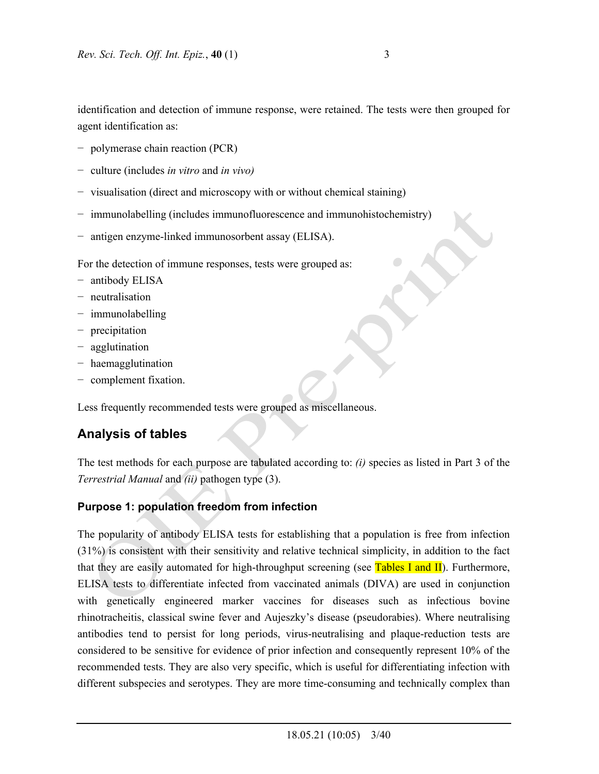identification and detection of immune response, were retained. The tests were then grouped for agent identification as:

- − polymerase chain reaction (PCR)
- − culture (includes *in vitro* and *in vivo)*
- − visualisation (direct and microscopy with or without chemical staining)
- − immunolabelling (includes immunofluorescence and immunohistochemistry)
- − antigen enzyme-linked immunosorbent assay (ELISA).

For the detection of immune responses, tests were grouped as:

- − antibody ELISA
- − neutralisation
- − immunolabelling
- − precipitation
- − agglutination
- − haemagglutination
- − complement fixation.

Less frequently recommended tests were grouped as miscellaneous.

# **Analysis of tables**

The test methods for each purpose are tabulated according to: *(i)* species as listed in Part 3 of the *Terrestrial Manual* and *(ii)* pathogen type (3).

# **Purpose 1: population freedom from infection**

The popularity of antibody ELISA tests for establishing that a population is free from infection (31%) is consistent with their sensitivity and relative technical simplicity, in addition to the fact that they are easily automated for high-throughput screening (see Tables I and II). Furthermore, ELISA tests to differentiate infected from vaccinated animals (DIVA) are used in conjunction with genetically engineered marker vaccines for diseases such as infectious bovine rhinotracheitis, classical swine fever and Aujeszky's disease (pseudorabies). Where neutralising antibodies tend to persist for long periods, virus-neutralising and plaque-reduction tests are considered to be sensitive for evidence of prior infection and consequently represent 10% of the recommended tests. They are also very specific, which is useful for differentiating infection with different subspecies and serotypes. They are more time-consuming and technically complex than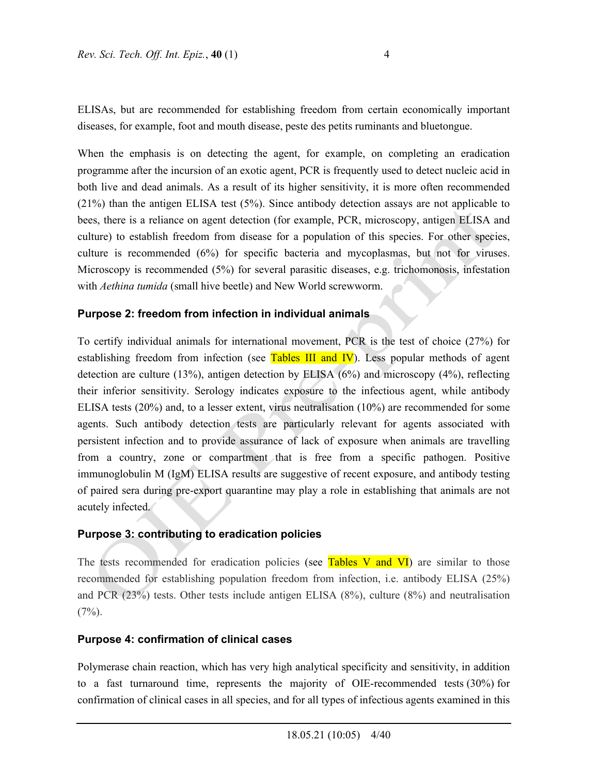ELISAs, but are recommended for establishing freedom from certain economically important diseases, for example, foot and mouth disease, peste des petits ruminants and bluetongue.

When the emphasis is on detecting the agent, for example, on completing an eradication programme after the incursion of an exotic agent, PCR is frequently used to detect nucleic acid in both live and dead animals. As a result of its higher sensitivity, it is more often recommended (21%) than the antigen ELISA test (5%). Since antibody detection assays are not applicable to bees, there is a reliance on agent detection (for example, PCR, microscopy, antigen ELISA and culture) to establish freedom from disease for a population of this species. For other species, culture is recommended (6%) for specific bacteria and mycoplasmas, but not for viruses. Microscopy is recommended (5%) for several parasitic diseases, e.g. trichomonosis, infestation with *Aethina tumida* (small hive beetle) and New World screwworm.

### **Purpose 2: freedom from infection in individual animals**

To certify individual animals for international movement, PCR is the test of choice (27%) for establishing freedom from infection (see Tables III and IV). Less popular methods of agent detection are culture (13%), antigen detection by ELISA (6%) and microscopy (4%), reflecting their inferior sensitivity. Serology indicates exposure to the infectious agent, while antibody ELISA tests (20%) and, to a lesser extent, virus neutralisation (10%) are recommended for some agents. Such antibody detection tests are particularly relevant for agents associated with persistent infection and to provide assurance of lack of exposure when animals are travelling from a country, zone or compartment that is free from a specific pathogen. Positive immunoglobulin M (IgM) ELISA results are suggestive of recent exposure, and antibody testing of paired sera during pre-export quarantine may play a role in establishing that animals are not acutely infected.

### **Purpose 3: contributing to eradication policies**

The tests recommended for eradication policies (see Tables V and VI) are similar to those recommended for establishing population freedom from infection, i.e. antibody ELISA (25%) and PCR (23%) tests. Other tests include antigen ELISA (8%), culture (8%) and neutralisation  $(7\%)$ .

### **Purpose 4: confirmation of clinical cases**

Polymerase chain reaction, which has very high analytical specificity and sensitivity, in addition to a fast turnaround time, represents the majority of OIE-recommended tests (30%) for confirmation of clinical cases in all species, and for all types of infectious agents examined in this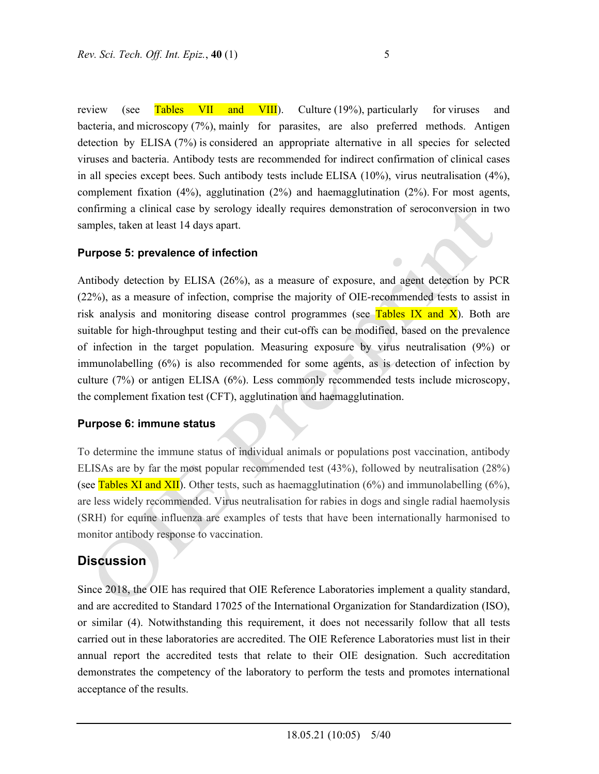review (see Tables VII and VIII). Culture (19%), particularly for viruses and bacteria, and microscopy (7%), mainly for parasites, are also preferred methods. Antigen detection by ELISA (7%) is considered an appropriate alternative in all species for selected viruses and bacteria. Antibody tests are recommended for indirect confirmation of clinical cases in all species except bees. Such antibody tests include ELISA (10%), virus neutralisation (4%), complement fixation  $(4\%)$ , agglutination  $(2\%)$  and haemagglutination  $(2\%)$ . For most agents, confirming a clinical case by serology ideally requires demonstration of seroconversion in two samples, taken at least 14 days apart.

## **Purpose 5: prevalence of infection**

Antibody detection by ELISA (26%), as a measure of exposure, and agent detection by PCR (22%), as a measure of infection, comprise the majority of OIE-recommended tests to assist in risk analysis and monitoring disease control programmes (see Tables IX and  $\overline{X}$ ). Both are suitable for high-throughput testing and their cut-offs can be modified, based on the prevalence of infection in the target population. Measuring exposure by virus neutralisation (9%) or immunolabelling (6%) is also recommended for some agents, as is detection of infection by culture (7%) or antigen ELISA (6%). Less commonly recommended tests include microscopy, the complement fixation test (CFT), agglutination and haemagglutination.

### **Purpose 6: immune status**

To determine the immune status of individual animals or populations post vaccination, antibody ELISAs are by far the most popular recommended test (43%), followed by neutralisation (28%) (see Tables XI and XII). Other tests, such as haemagglutination (6%) and immunolabelling (6%), are less widely recommended. Virus neutralisation for rabies in dogs and single radial haemolysis (SRH) for equine influenza are examples of tests that have been internationally harmonised to monitor antibody response to vaccination.

# **Discussion**

Since 2018, the OIE has required that OIE Reference Laboratories implement a quality standard, and are accredited to Standard 17025 of the International Organization for Standardization (ISO), or similar (4). Notwithstanding this requirement, it does not necessarily follow that all tests carried out in these laboratories are accredited. The OIE Reference Laboratories must list in their annual report the accredited tests that relate to their OIE designation. Such accreditation demonstrates the competency of the laboratory to perform the tests and promotes international acceptance of the results.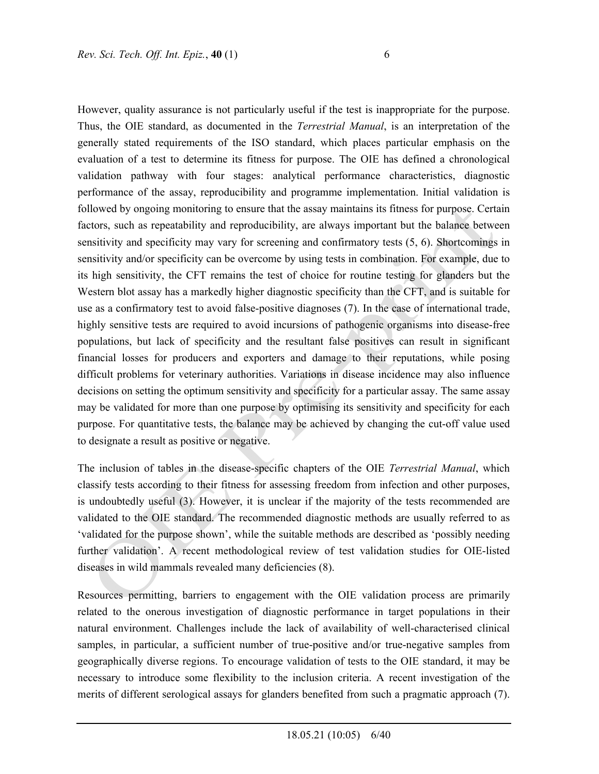However, quality assurance is not particularly useful if the test is inappropriate for the purpose. Thus, the OIE standard, as documented in the *Terrestrial Manual*, is an interpretation of the generally stated requirements of the ISO standard, which places particular emphasis on the evaluation of a test to determine its fitness for purpose. The OIE has defined a chronological validation pathway with four stages: analytical performance characteristics, diagnostic performance of the assay, reproducibility and programme implementation. Initial validation is followed by ongoing monitoring to ensure that the assay maintains its fitness for purpose. Certain factors, such as repeatability and reproducibility, are always important but the balance between sensitivity and specificity may vary for screening and confirmatory tests (5, 6). Shortcomings in sensitivity and/or specificity can be overcome by using tests in combination. For example, due to its high sensitivity, the CFT remains the test of choice for routine testing for glanders but the Western blot assay has a markedly higher diagnostic specificity than the CFT, and is suitable for use as a confirmatory test to avoid false-positive diagnoses (7). In the case of international trade, highly sensitive tests are required to avoid incursions of pathogenic organisms into disease-free populations, but lack of specificity and the resultant false positives can result in significant financial losses for producers and exporters and damage to their reputations, while posing difficult problems for veterinary authorities. Variations in disease incidence may also influence decisions on setting the optimum sensitivity and specificity for a particular assay. The same assay may be validated for more than one purpose by optimising its sensitivity and specificity for each purpose. For quantitative tests, the balance may be achieved by changing the cut-off value used to designate a result as positive or negative.

The inclusion of tables in the disease-specific chapters of the OIE *Terrestrial Manual*, which classify tests according to their fitness for assessing freedom from infection and other purposes, is undoubtedly useful (3). However, it is unclear if the majority of the tests recommended are validated to the OIE standard. The recommended diagnostic methods are usually referred to as 'validated for the purpose shown', while the suitable methods are described as 'possibly needing further validation'. A recent methodological review of test validation studies for OIE-listed diseases in wild mammals revealed many deficiencies (8).

Resources permitting, barriers to engagement with the OIE validation process are primarily related to the onerous investigation of diagnostic performance in target populations in their natural environment. Challenges include the lack of availability of well-characterised clinical samples, in particular, a sufficient number of true-positive and/or true-negative samples from geographically diverse regions. To encourage validation of tests to the OIE standard, it may be necessary to introduce some flexibility to the inclusion criteria. A recent investigation of the merits of different serological assays for glanders benefited from such a pragmatic approach (7).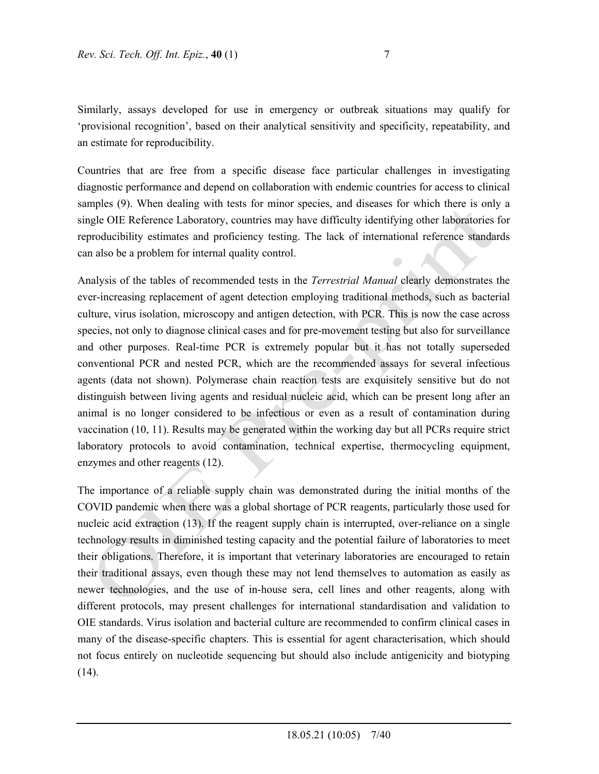Similarly, assays developed for use in emergency or outbreak situations may qualify for 'provisional recognition', based on their analytical sensitivity and specificity, repeatability, and an estimate for reproducibility.

Countries that are free from a specific disease face particular challenges in investigating diagnostic performance and depend on collaboration with endemic countries for access to clinical samples (9). When dealing with tests for minor species, and diseases for which there is only a single OIE Reference Laboratory, countries may have difficulty identifying other laboratories for reproducibility estimates and proficiency testing. The lack of international reference standards can also be a problem for internal quality control.

Analysis of the tables of recommended tests in the *Terrestrial Manual* clearly demonstrates the ever-increasing replacement of agent detection employing traditional methods, such as bacterial culture, virus isolation, microscopy and antigen detection, with PCR. This is now the case across species, not only to diagnose clinical cases and for pre-movement testing but also for surveillance and other purposes. Real-time PCR is extremely popular but it has not totally superseded conventional PCR and nested PCR, which are the recommended assays for several infectious agents (data not shown). Polymerase chain reaction tests are exquisitely sensitive but do not distinguish between living agents and residual nucleic acid, which can be present long after an animal is no longer considered to be infectious or even as a result of contamination during vaccination (10, 11). Results may be generated within the working day but all PCRs require strict laboratory protocols to avoid contamination, technical expertise, thermocycling equipment, enzymes and other reagents (12).

The importance of a reliable supply chain was demonstrated during the initial months of the COVID pandemic when there was a global shortage of PCR reagents, particularly those used for nucleic acid extraction (13). If the reagent supply chain is interrupted, over-reliance on a single technology results in diminished testing capacity and the potential failure of laboratories to meet their obligations. Therefore, it is important that veterinary laboratories are encouraged to retain their traditional assays, even though these may not lend themselves to automation as easily as newer technologies, and the use of in-house sera, cell lines and other reagents, along with different protocols, may present challenges for international standardisation and validation to OIE standards. Virus isolation and bacterial culture are recommended to confirm clinical cases in many of the disease-specific chapters. This is essential for agent characterisation, which should not focus entirely on nucleotide sequencing but should also include antigenicity and biotyping (14).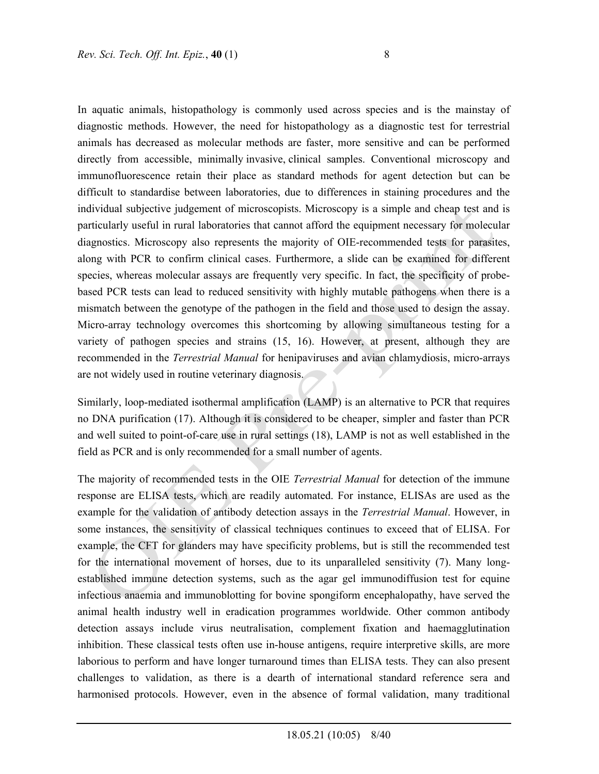In aquatic animals, histopathology is commonly used across species and is the mainstay of diagnostic methods. However, the need for histopathology as a diagnostic test for terrestrial animals has decreased as molecular methods are faster, more sensitive and can be performed directly from accessible, minimally invasive, clinical samples. Conventional microscopy and immunofluorescence retain their place as standard methods for agent detection but can be difficult to standardise between laboratories, due to differences in staining procedures and the individual subjective judgement of microscopists. Microscopy is a simple and cheap test and is particularly useful in rural laboratories that cannot afford the equipment necessary for molecular diagnostics. Microscopy also represents the majority of OIE-recommended tests for parasites, along with PCR to confirm clinical cases. Furthermore, a slide can be examined for different species, whereas molecular assays are frequently very specific. In fact, the specificity of probebased PCR tests can lead to reduced sensitivity with highly mutable pathogens when there is a mismatch between the genotype of the pathogen in the field and those used to design the assay. Micro-array technology overcomes this shortcoming by allowing simultaneous testing for a variety of pathogen species and strains (15, 16). However, at present, although they are recommended in the *Terrestrial Manual* for henipaviruses and avian chlamydiosis, micro-arrays are not widely used in routine veterinary diagnosis.

Similarly, loop-mediated isothermal amplification (LAMP) is an alternative to PCR that requires no DNA purification (17). Although it is considered to be cheaper, simpler and faster than PCR and well suited to point-of-care use in rural settings (18), LAMP is not as well established in the field as PCR and is only recommended for a small number of agents.

The majority of recommended tests in the OIE *Terrestrial Manual* for detection of the immune response are ELISA tests, which are readily automated. For instance, ELISAs are used as the example for the validation of antibody detection assays in the *Terrestrial Manual*. However, in some instances, the sensitivity of classical techniques continues to exceed that of ELISA. For example, the CFT for glanders may have specificity problems, but is still the recommended test for the international movement of horses, due to its unparalleled sensitivity (7). Many longestablished immune detection systems, such as the agar gel immunodiffusion test for equine infectious anaemia and immunoblotting for bovine spongiform encephalopathy, have served the animal health industry well in eradication programmes worldwide. Other common antibody detection assays include virus neutralisation, complement fixation and haemagglutination inhibition. These classical tests often use in-house antigens, require interpretive skills, are more laborious to perform and have longer turnaround times than ELISA tests. They can also present challenges to validation, as there is a dearth of international standard reference sera and harmonised protocols. However, even in the absence of formal validation, many traditional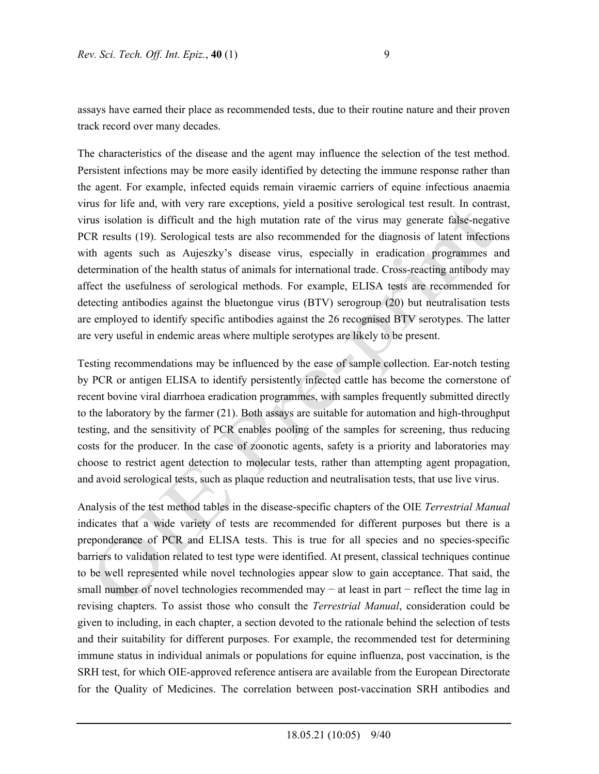assays have earned their place as recommended tests, due to their routine nature and their proven track record over many decades.

The characteristics of the disease and the agent may influence the selection of the test method. Persistent infections may be more easily identified by detecting the immune response rather than the agent. For example, infected equids remain viraemic carriers of equine infectious anaemia virus for life and, with very rare exceptions, yield a positive serological test result. In contrast, virus isolation is difficult and the high mutation rate of the virus may generate false-negative PCR results (19). Serological tests are also recommended for the diagnosis of latent infections with agents such as Aujeszky's disease virus, especially in eradication programmes and determination of the health status of animals for international trade. Cross-reacting antibody may affect the usefulness of serological methods. For example, ELISA tests are recommended for detecting antibodies against the bluetongue virus (BTV) serogroup (20) but neutralisation tests are employed to identify specific antibodies against the 26 recognised BTV serotypes. The latter are very useful in endemic areas where multiple serotypes are likely to be present.

Testing recommendations may be influenced by the ease of sample collection. Ear-notch testing by PCR or antigen ELISA to identify persistently infected cattle has become the cornerstone of recent bovine viral diarrhoea eradication programmes, with samples frequently submitted directly to the laboratory by the farmer (21). Both assays are suitable for automation and high-throughput testing, and the sensitivity of PCR enables pooling of the samples for screening, thus reducing costs for the producer. In the case of zoonotic agents, safety is a priority and laboratories may choose to restrict agent detection to molecular tests, rather than attempting agent propagation, and avoid serological tests, such as plaque reduction and neutralisation tests, that use live virus.

Analysis of the test method tables in the disease-specific chapters of the OIE *Terrestrial Manual* indicates that a wide variety of tests are recommended for different purposes but there is a preponderance of PCR and ELISA tests. This is true for all species and no species-specific barriers to validation related to test type were identified. At present, classical techniques continue to be well represented while novel technologies appear slow to gain acceptance. That said, the small number of novel technologies recommended may − at least in part − reflect the time lag in revising chapters. To assist those who consult the *Terrestrial Manual*, consideration could be given to including, in each chapter, a section devoted to the rationale behind the selection of tests and their suitability for different purposes. For example, the recommended test for determining immune status in individual animals or populations for equine influenza, post vaccination, is the SRH test, for which OIE-approved reference antisera are available from the European Directorate for the Quality of Medicines. The correlation between post-vaccination SRH antibodies and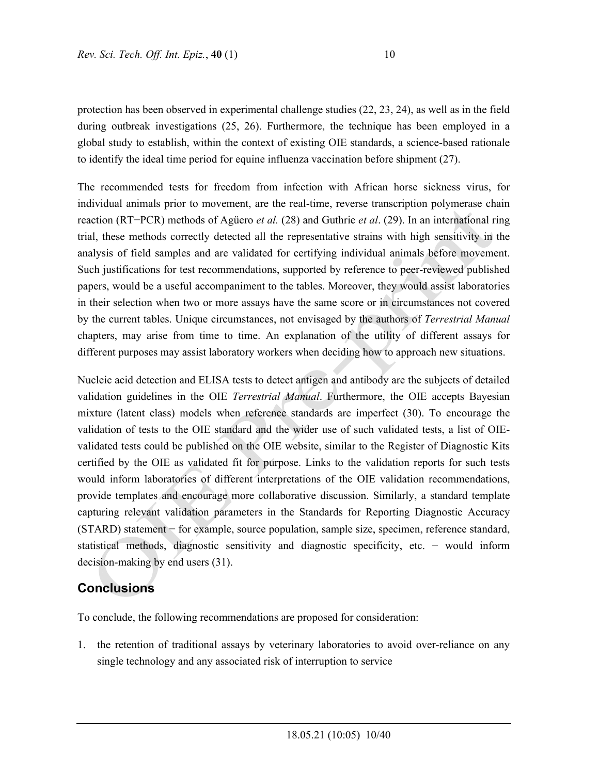protection has been observed in experimental challenge studies (22, 23, 24), as well as in the field during outbreak investigations (25, 26). Furthermore, the technique has been employed in a global study to establish, within the context of existing OIE standards, a science-based rationale to identify the ideal time period for equine influenza vaccination before shipment (27).

The recommended tests for freedom from infection with African horse sickness virus, for individual animals prior to movement, are the real-time, reverse transcription polymerase chain reaction (RT−PCR) methods of Agüero *et al.* (28) and Guthrie *et al*. (29). In an international ring trial, these methods correctly detected all the representative strains with high sensitivity in the analysis of field samples and are validated for certifying individual animals before movement. Such justifications for test recommendations, supported by reference to peer-reviewed published papers, would be a useful accompaniment to the tables. Moreover, they would assist laboratories in their selection when two or more assays have the same score or in circumstances not covered by the current tables. Unique circumstances, not envisaged by the authors of *Terrestrial Manual*  chapters, may arise from time to time. An explanation of the utility of different assays for different purposes may assist laboratory workers when deciding how to approach new situations.

Nucleic acid detection and ELISA tests to detect antigen and antibody are the subjects of detailed validation guidelines in the OIE *Terrestrial Manual*. Furthermore, the OIE accepts Bayesian mixture (latent class) models when reference standards are imperfect (30). To encourage the validation of tests to the OIE standard and the wider use of such validated tests, a list of OIEvalidated tests could be published on the OIE website, similar to the Register of Diagnostic Kits certified by the OIE as validated fit for purpose. Links to the validation reports for such tests would inform laboratories of different interpretations of the OIE validation recommendations, provide templates and encourage more collaborative discussion. Similarly, a standard template capturing relevant validation parameters in the Standards for Reporting Diagnostic Accuracy (STARD) statement − for example, source population, sample size, specimen, reference standard, statistical methods, diagnostic sensitivity and diagnostic specificity, etc. − would inform decision-making by end users (31).

# **Conclusions**

To conclude, the following recommendations are proposed for consideration:

1. the retention of traditional assays by veterinary laboratories to avoid over-reliance on any single technology and any associated risk of interruption to service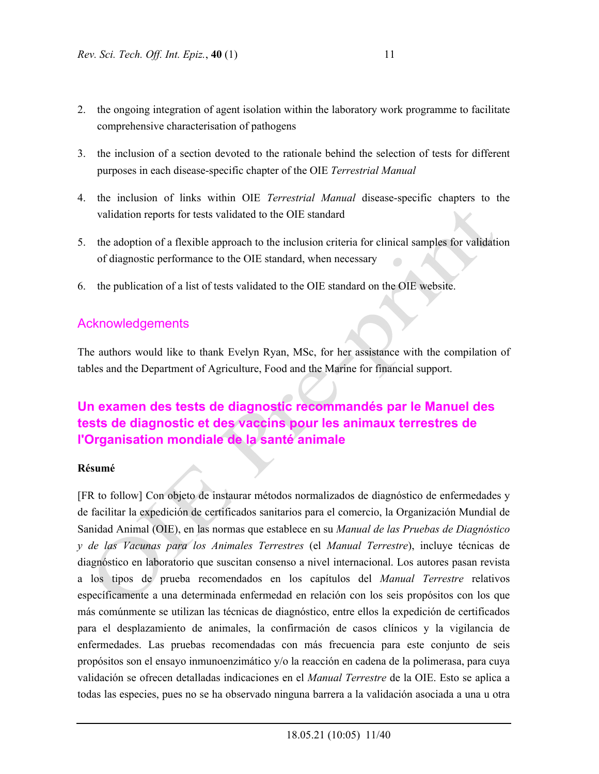- 2. the ongoing integration of agent isolation within the laboratory work programme to facilitate comprehensive characterisation of pathogens
- 3. the inclusion of a section devoted to the rationale behind the selection of tests for different purposes in each disease-specific chapter of the OIE *Terrestrial Manual*
- 4. the inclusion of links within OIE *Terrestrial Manual* disease-specific chapters to the validation reports for tests validated to the OIE standard
- 5. the adoption of a flexible approach to the inclusion criteria for clinical samples for validation of diagnostic performance to the OIE standard, when necessary
- 6. the publication of a list of tests validated to the OIE standard on the OIE website.

# Acknowledgements

The authors would like to thank Evelyn Ryan, MSc, for her assistance with the compilation of tables and the Department of Agriculture, Food and the Marine for financial support.

# **Un examen des tests de diagnostic recommandés par le Manuel des tests de diagnostic et des vaccins pour les animaux terrestres de l'Organisation mondiale de la santé animale**

### **Résumé**

[FR to follow] Con objeto de instaurar métodos normalizados de diagnóstico de enfermedades y de facilitar la expedición de certificados sanitarios para el comercio, la Organización Mundial de Sanidad Animal (OIE), en las normas que establece en su *Manual de las Pruebas de Diagnóstico y de las Vacunas para los Animales Terrestres* (el *Manual Terrestre*), incluye técnicas de diagnóstico en laboratorio que suscitan consenso a nivel internacional. Los autores pasan revista a los tipos de prueba recomendados en los capítulos del *Manual Terrestre* relativos específicamente a una determinada enfermedad en relación con los seis propósitos con los que más comúnmente se utilizan las técnicas de diagnóstico, entre ellos la expedición de certificados para el desplazamiento de animales, la confirmación de casos clínicos y la vigilancia de enfermedades. Las pruebas recomendadas con más frecuencia para este conjunto de seis propósitos son el ensayo inmunoenzimático y/o la reacción en cadena de la polimerasa, para cuya validación se ofrecen detalladas indicaciones en el *Manual Terrestre* de la OIE. Esto se aplica a todas las especies, pues no se ha observado ninguna barrera a la validación asociada a una u otra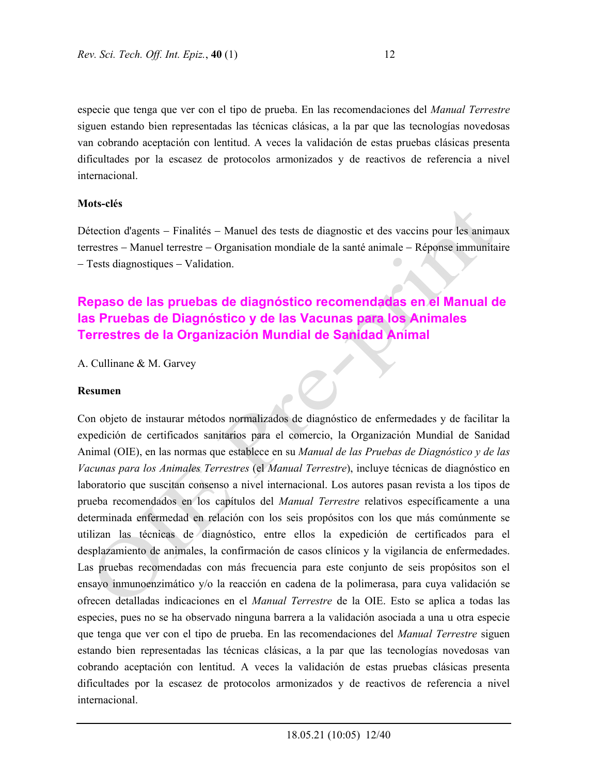especie que tenga que ver con el tipo de prueba. En las recomendaciones del *Manual Terrestre* siguen estando bien representadas las técnicas clásicas, a la par que las tecnologías novedosas van cobrando aceptación con lentitud. A veces la validación de estas pruebas clásicas presenta dificultades por la escasez de protocolos armonizados y de reactivos de referencia a nivel internacional.

#### **Mots-clés**

Détection d'agents - Finalités - Manuel des tests de diagnostic et des vaccins pour les animaux terrestres – Manuel terrestre – Organisation mondiale de la santé animale – Réponse immunitaire - Tests diagnostiques - Validation.

# **Repaso de las pruebas de diagnóstico recomendadas en el Manual de las Pruebas de Diagnóstico y de las Vacunas para los Animales Terrestres de la Organización Mundial de Sanidad Animal**

A. Cullinane & M. Garvey

#### **Resumen**

Con objeto de instaurar métodos normalizados de diagnóstico de enfermedades y de facilitar la expedición de certificados sanitarios para el comercio, la Organización Mundial de Sanidad Animal (OIE), en las normas que establece en su *Manual de las Pruebas de Diagnóstico y de las Vacunas para los Animales Terrestres* (el *Manual Terrestre*), incluye técnicas de diagnóstico en laboratorio que suscitan consenso a nivel internacional. Los autores pasan revista a los tipos de prueba recomendados en los capítulos del *Manual Terrestre* relativos específicamente a una determinada enfermedad en relación con los seis propósitos con los que más comúnmente se utilizan las técnicas de diagnóstico, entre ellos la expedición de certificados para el desplazamiento de animales, la confirmación de casos clínicos y la vigilancia de enfermedades. Las pruebas recomendadas con más frecuencia para este conjunto de seis propósitos son el ensayo inmunoenzimático y/o la reacción en cadena de la polimerasa, para cuya validación se ofrecen detalladas indicaciones en el *Manual Terrestre* de la OIE. Esto se aplica a todas las especies, pues no se ha observado ninguna barrera a la validación asociada a una u otra especie que tenga que ver con el tipo de prueba. En las recomendaciones del *Manual Terrestre* siguen estando bien representadas las técnicas clásicas, a la par que las tecnologías novedosas van cobrando aceptación con lentitud. A veces la validación de estas pruebas clásicas presenta dificultades por la escasez de protocolos armonizados y de reactivos de referencia a nivel internacional.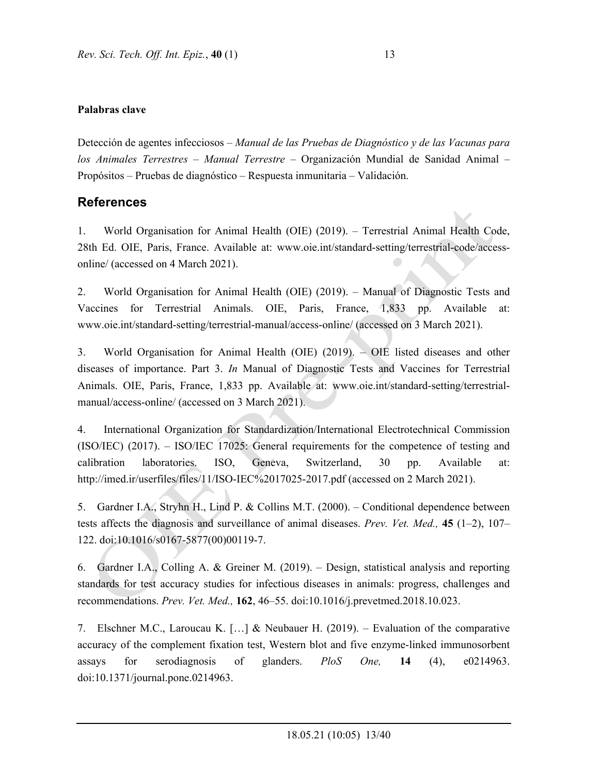Detección de agentes infecciosos – *Manual de las Pruebas de Diagnóstico y de las Vacunas para los Animales Terrestres* – *Manual Terrestre* – Organización Mundial de Sanidad Animal – Propósitos – Pruebas de diagnóstico – Respuesta inmunitaria – Validación.

# **References**

1. World Organisation for Animal Health (OIE) (2019). – Terrestrial Animal Health Code, 28th Ed. OIE, Paris, France. Available at: www.oie.int/standard-setting/terrestrial-code/accessonline/ (accessed on 4 March 2021).

2. World Organisation for Animal Health (OIE) (2019). – Manual of Diagnostic Tests and Vaccines for Terrestrial Animals. OIE, Paris, France, 1,833 pp. Available at: www.oie.int/standard-setting/terrestrial-manual/access-online/ (accessed on 3 March 2021).

3. World Organisation for Animal Health (OIE) (2019). – OIE listed diseases and other diseases of importance. Part 3. *In* Manual of Diagnostic Tests and Vaccines for Terrestrial Animals. OIE, Paris, France, 1,833 pp. Available at: www.oie.int/standard-setting/terrestrialmanual/access-online/ (accessed on 3 March 2021).

4. International Organization for Standardization/International Electrotechnical Commission (ISO/IEC) (2017). – ISO/IEC 17025: General requirements for the competence of testing and calibration laboratories. ISO, Geneva, Switzerland, 30 pp. Available at: http://imed.ir/userfiles/files/11/ISO-IEC%2017025-2017.pdf (accessed on 2 March 2021).

5. Gardner I.A., Stryhn H., Lind P. & Collins M.T. (2000). – Conditional dependence between tests affects the diagnosis and surveillance of animal diseases. *Prev. Vet. Med.,* **45** (1–2), 107– 122. doi:10.1016/s0167-5877(00)00119-7.

6. Gardner I.A., Colling A. & Greiner M. (2019). – Design, statistical analysis and reporting standards for test accuracy studies for infectious diseases in animals: progress, challenges and recommendations. *Prev. Vet. Med.,* **162**, 46–55. doi:10.1016/j.prevetmed.2018.10.023.

7. Elschner M.C., Laroucau K. […] & Neubauer H. (2019). – Evaluation of the comparative accuracy of the complement fixation test, Western blot and five enzyme-linked immunosorbent assays for serodiagnosis of glanders. *PloS One,* **14** (4), e0214963. doi:10.1371/journal.pone.0214963.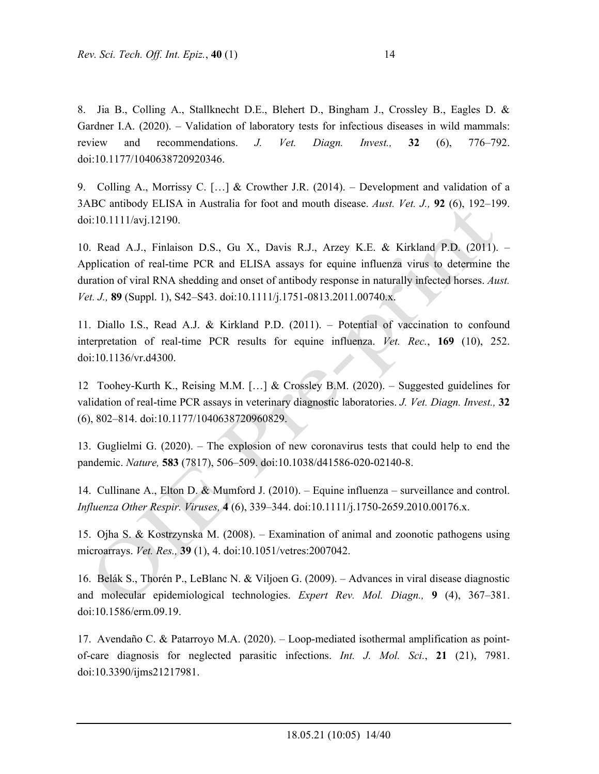8. Jia B., Colling A., Stallknecht D.E., Blehert D., Bingham J., Crossley B., Eagles D. & Gardner I.A. (2020). – Validation of laboratory tests for infectious diseases in wild mammals: review and recommendations. *J. Vet. Diagn. Invest.,* **32** (6), 776–792. doi:10.1177/1040638720920346.

9. Colling A., Morrissy C. […] & Crowther J.R. (2014). – Development and validation of a 3ABC antibody ELISA in Australia for foot and mouth disease. *Aust. Vet. J.,* **92** (6), 192–199. doi:10.1111/avj.12190.

10. Read A.J., Finlaison D.S., Gu X., Davis R.J., Arzey K.E. & Kirkland P.D. (2011). – Application of real-time PCR and ELISA assays for equine influenza virus to determine the duration of viral RNA shedding and onset of antibody response in naturally infected horses. *Aust. Vet. J.,* **89** (Suppl. 1), S42–S43. doi:10.1111/j.1751-0813.2011.00740.x.

11. Diallo I.S., Read A.J. & Kirkland P.D. (2011). – Potential of vaccination to confound interpretation of real-time PCR results for equine influenza. *Vet. Rec.*, **169** (10), 252. doi:10.1136/vr.d4300.

12 Toohey-Kurth K., Reising M.M. […] & Crossley B.M. (2020). – Suggested guidelines for validation of real-time PCR assays in veterinary diagnostic laboratories. *J. Vet. Diagn. Invest.,* **32** (6), 802–814. doi:10.1177/1040638720960829.

13. Guglielmi G. (2020). – The explosion of new coronavirus tests that could help to end the pandemic. *Nature,* **583** (7817), 506–509. doi:10.1038/d41586-020-02140-8.

14. Cullinane A., Elton D. & Mumford J. (2010). – Equine influenza – surveillance and control. *Influenza Other Respir. Viruses,* **4** (6), 339–344. doi:10.1111/j.1750-2659.2010.00176.x.

15. Ojha S. & Kostrzynska M. (2008). – Examination of animal and zoonotic pathogens using microarrays. *Vet. Res.,* **39** (1), 4. doi:10.1051/vetres:2007042.

16. Belák S., Thorén P., LeBlanc N. & Viljoen G. (2009). – Advances in viral disease diagnostic and molecular epidemiological technologies. *Expert Rev. Mol. Diagn.,* **9** (4), 367–381. doi:10.1586/erm.09.19.

17. Avendaño C. & Patarroyo M.A. (2020). – Loop-mediated isothermal amplification as pointof-care diagnosis for neglected parasitic infections. *Int. J. Mol. Sci.*, **21** (21), 7981. doi:10.3390/ijms21217981.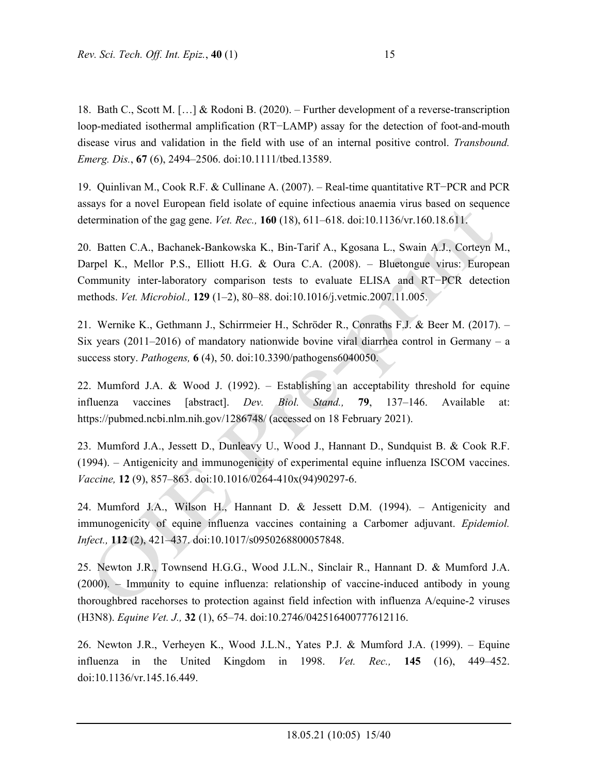18. Bath C., Scott M. […] & Rodoni B. (2020). – Further development of a reverse-transcription loop-mediated isothermal amplification (RT−LAMP) assay for the detection of foot-and-mouth disease virus and validation in the field with use of an internal positive control. *Transbound. Emerg. Dis.*, **67** (6), 2494–2506. doi:10.1111/tbed.13589.

19. Quinlivan M., Cook R.F. & Cullinane A. (2007). – Real-time quantitative RT−PCR and PCR assays for a novel European field isolate of equine infectious anaemia virus based on sequence determination of the gag gene. *Vet. Rec.,* **160** (18), 611–618. doi:10.1136/vr.160.18.611.

20. Batten C.A., Bachanek-Bankowska K., Bin-Tarif A., Kgosana L., Swain A.J., Corteyn M., Darpel K., Mellor P.S., Elliott H.G. & Oura C.A. (2008). – Bluetongue virus: European Community inter-laboratory comparison tests to evaluate ELISA and RT−PCR detection methods. *Vet. Microbiol.,* **129** (1–2), 80–88. doi:10.1016/j.vetmic.2007.11.005.

21. Wernike K., Gethmann J., Schirrmeier H., Schröder R., Conraths F.J. & Beer M. (2017). – Six years  $(2011-2016)$  of mandatory nationwide bovine viral diarrhea control in Germany – a success story. *Pathogens,* **6** (4), 50. doi:10.3390/pathogens6040050.

22. Mumford J.A. & Wood J. (1992). – Establishing an acceptability threshold for equine influenza vaccines [abstract]. *Dev. Biol. Stand.,* **79**, 137–146. Available at: https://pubmed.ncbi.nlm.nih.gov/1286748/ (accessed on 18 February 2021).

23. Mumford J.A., Jessett D., Dunleavy U., Wood J., Hannant D., Sundquist B. & Cook R.F. (1994). – Antigenicity and immunogenicity of experimental equine influenza ISCOM vaccines. *Vaccine,* **12** (9), 857–863. doi:10.1016/0264-410x(94)90297-6.

24. Mumford J.A., Wilson H., Hannant D. & Jessett D.M. (1994). – Antigenicity and immunogenicity of equine influenza vaccines containing a Carbomer adjuvant. *Epidemiol. Infect.,* **112** (2), 421–437. doi:10.1017/s0950268800057848.

25. Newton J.R., Townsend H.G.G., Wood J.L.N., Sinclair R., Hannant D. & Mumford J.A. (2000). – Immunity to equine influenza: relationship of vaccine-induced antibody in young thoroughbred racehorses to protection against field infection with influenza A/equine-2 viruses (H3N8). *Equine Vet. J.,* **32** (1), 65–74. doi:10.2746/042516400777612116.

26. Newton J.R., Verheyen K., Wood J.L.N., Yates P.J. & Mumford J.A. (1999). – Equine influenza in the United Kingdom in 1998. *Vet. Rec.,* **145** (16), 449–452. doi:10.1136/vr.145.16.449.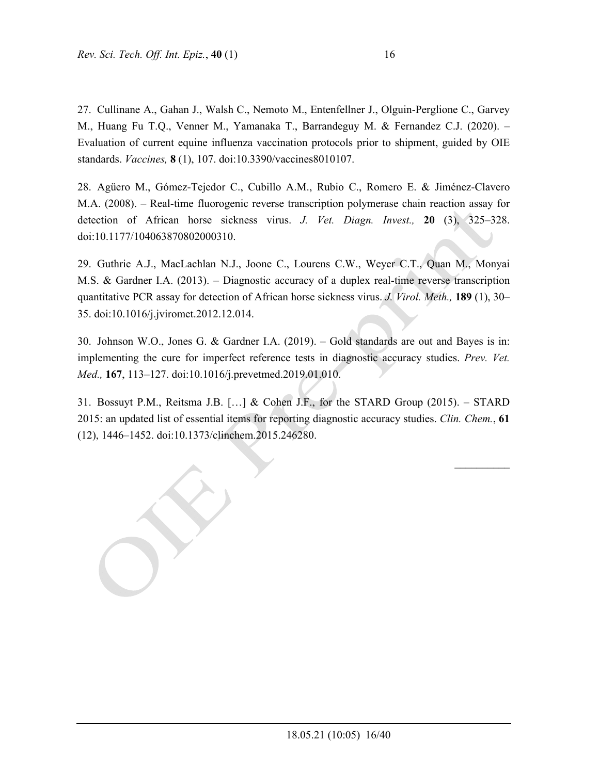27. Cullinane A., Gahan J., Walsh C., Nemoto M., Entenfellner J., Olguin-Perglione C., Garvey M., Huang Fu T.Q., Venner M., Yamanaka T., Barrandeguy M. & Fernandez C.J. (2020). – Evaluation of current equine influenza vaccination protocols prior to shipment, guided by OIE standards. *Vaccines,* **8** (1), 107. doi:10.3390/vaccines8010107.

28. Agüero M., Gómez-Tejedor C., Cubillo A.M., Rubio C., Romero E. & Jiménez-Clavero M.A. (2008). – Real-time fluorogenic reverse transcription polymerase chain reaction assay for detection of African horse sickness virus. *J. Vet. Diagn. Invest.,* **20** (3), 325–328. doi:10.1177/104063870802000310.

29. Guthrie A.J., MacLachlan N.J., Joone C., Lourens C.W., Weyer C.T., Quan M., Monyai M.S. & Gardner I.A. (2013). – Diagnostic accuracy of a duplex real-time reverse transcription quantitative PCR assay for detection of African horse sickness virus. *J. Virol. Meth.,* **189** (1), 30– 35. doi:10.1016/j.jviromet.2012.12.014.

30. Johnson W.O., Jones G. & Gardner I.A. (2019). – Gold standards are out and Bayes is in: implementing the cure for imperfect reference tests in diagnostic accuracy studies. *Prev. Vet. Med.,* **167**, 113–127. doi:10.1016/j.prevetmed.2019.01.010.

31. Bossuyt P.M., Reitsma J.B. […] & Cohen J.F., for the STARD Group (2015). – STARD 2015: an updated list of essential items for reporting diagnostic accuracy studies. *Clin. Chem.*, **61** (12), 1446–1452. doi:10.1373/clinchem.2015.246280.

 $\frac{1}{2}$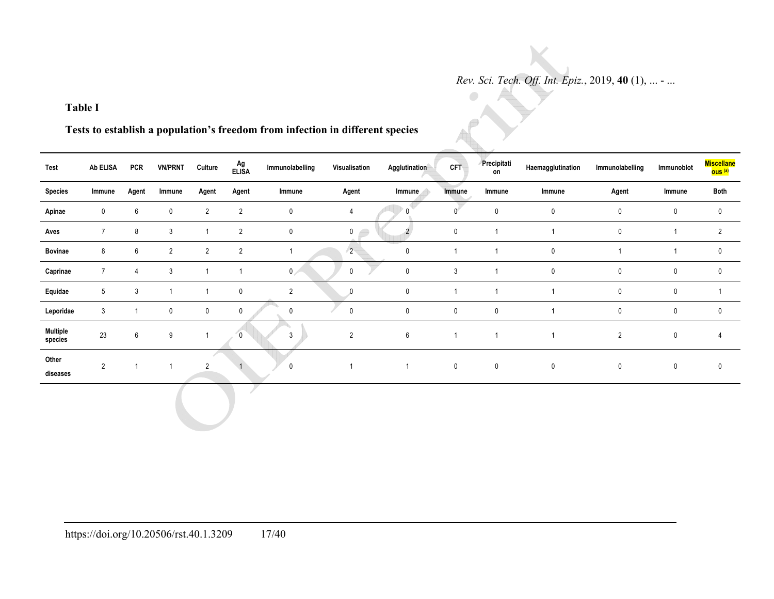$\bullet$ 

### **Table I**

**Tests to establish a population's freedom from infection in different species** 

| Test                       | Ab ELISA       | <b>PCR</b>       | <b>VN/PRNT</b> | Culture        | Ag<br>Elisa    | Immunolabelling | Visualisation    | Agglutination    | <b>CFT</b>     | Precipitati<br>on | Haemagglutination | Immunolabelling | Immunoblot     | <b>Miscellane</b><br><mark>ous (a)</mark> |
|----------------------------|----------------|------------------|----------------|----------------|----------------|-----------------|------------------|------------------|----------------|-------------------|-------------------|-----------------|----------------|-------------------------------------------|
| <b>Species</b>             | Immune         | Agent            | Immune         | Agent          | Agent          | Immune          | Agent            | Immune           | Immune         | Immune            | Immune            | Agent           | Immune         | Both                                      |
| Apinae                     | $\mathbf 0$    | 6                | $\mathbf 0$    | $\overline{2}$ | $\overline{2}$ | $\mathbf 0$     | $\overline{4}$   | $\mathbf{0}$     | $\mathbf{0}$   | $\mathbf 0$       | $\pmb{0}$         | $\mathbf 0$     | $\pmb{0}$      | $\pmb{0}$                                 |
| Aves                       | $\overline{7}$ | 8                | 3              |                | $\overline{2}$ | $\mathbf 0$     | $\mathbf 0$<br>ð | $\overline{2}$   | 0              |                   |                   | 0               | $\overline{1}$ | $\overline{2}$                            |
| <b>Bovinae</b>             | 8              | 6                | $\overline{2}$ | $2^{\circ}$    | $\overline{2}$ | $\overline{ }$  | $\overline{2}$   | $\pmb{0}$        | $\mathbf{1}$   |                   | $\mathbf 0$       | $\overline{ }$  | $\overline{1}$ | $\mathbf 0$                               |
| Caprinae                   | $\overline{7}$ | $\overline{4}$   | 3              |                |                | $\overline{0}$  | $\mathsf 0$      | $\pmb{0}$        | $\sqrt{3}$     |                   | $\pmb{0}$         | 0               | $\mathbf 0$    | 0                                         |
| Equidae                    | 5              | $\mathbf{3}$     | -1             |                | $\pmb{0}$      | $\overline{2}$  | $\mathbf{0}$     | $\mathbf 0$      | $\overline{1}$ |                   |                   | 0               | $\pmb{0}$      |                                           |
| Leporidae                  | 3              | -1               | 0              | 0              | $\pmb{0}$      | 0               | $\pmb{0}$        | $\pmb{0}$        | $\pmb{0}$      | $\pmb{0}$         |                   | 0               | $\pmb{0}$      | $\mathbf 0$                               |
| <b>Multiple</b><br>species | 23             | $\boldsymbol{6}$ | 9              |                | $\overline{0}$ | $\mathbf{3}$    | $\overline{2}$   | $\boldsymbol{6}$ | $\overline{1}$ |                   |                   | $\overline{2}$  | $\pmb{0}$      | $\overline{4}$                            |
| Other<br>diseases          | $\overline{2}$ |                  |                | $\sqrt{2}$     |                | $\mathbf 0$     |                  | $\mathbf{1}$     | $\mathsf 0$    | $\mathsf 0$       | $\pmb{0}$         | $\mathbf 0$     | $\pmb{0}$      | $\mathbf 0$                               |
|                            |                |                  |                |                |                |                 |                  |                  |                |                   |                   |                 |                |                                           |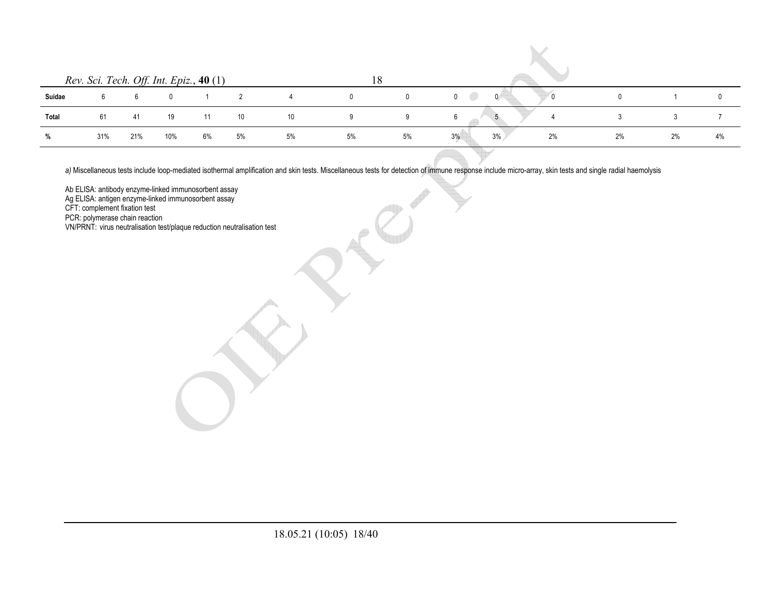|        | Rev. Sci. Tech. Off. Int. Epiz., 40 (1) |     |     |    |    |    | ے ، |    |                        |    |    |    |
|--------|-----------------------------------------|-----|-----|----|----|----|-----|----|------------------------|----|----|----|
| Suidae |                                         |     |     |    |    |    |     |    | $\mathbf{0}$<br>$\sim$ |    |    |    |
| Total  | 61                                      | -41 | 19  |    | 10 | 10 |     | -9 | b                      |    |    |    |
|        | 31%                                     | 21% | 10% | 6% | 5% | 5% | 5%  | 5% | 3%<br>3%<br>2%         | 2% | 2% | 4% |

 $\mathcal{L}$ 

a) Miscellaneous tests include loop-mediated isothermal amplification and skin tests. Miscellaneous tests for detection of immune response include micro-array, skin tests and single radial haemolysis

Ab ELISA: antibody enzyme-linked immunosorbent assay

Ag ELISA: antigen enzyme-linked immunosorbent assay

CFT: complement fixation test

PCR: polymerase chain reaction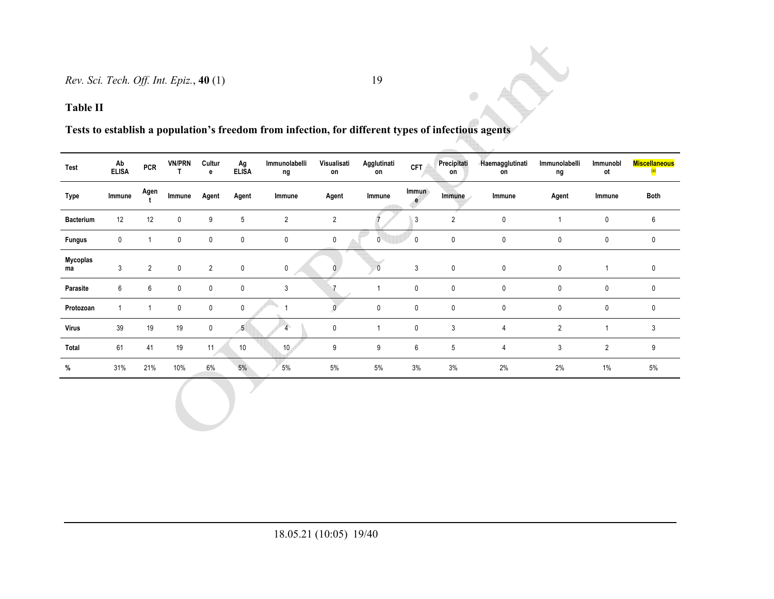## **Table II**

# **Tests to establish a population's freedom from infection, for different types of infectious agents**

| Test             | Ab<br><b>ELISA</b> | <b>PCR</b>     | <b>VN/PRN</b> | Cultur<br>e    | Ag<br><b>ELISA</b> | Immunolabelli<br>ng | Visualisati<br>on | Agglutinati<br>on | <b>CFT</b>   | Precipitati<br>on | <b>Haemagglutinati</b><br>on | Immunolabelli<br>ng | Immunobl<br>ot | <b>Miscellaneous</b> |
|------------------|--------------------|----------------|---------------|----------------|--------------------|---------------------|-------------------|-------------------|--------------|-------------------|------------------------------|---------------------|----------------|----------------------|
| Type             | Immune             | Agen           | Immune        | Agent          | Agent              | Immune              | Agent             | Immune            | Immun<br>e   | Immune            | Immune                       | Agent               | Immune         | Both                 |
| <b>Bacterium</b> | 12                 | 12             | $\mathbf 0$   | 9              | 5                  | $\overline{2}$      | $\overline{2}$    |                   | 3            | $\overline{2}$    | $\mathbf{0}$                 |                     | 0              | 6                    |
| <b>Fungus</b>    | 0                  |                | $\mathbf 0$   | 0              | 0                  | 0                   | 0                 | 0                 | $\mathbf{0}$ | $\mathbf 0$       | $\mathbf 0$                  | 0                   | 0              | 0                    |
| Mycoplas<br>ma   | 3                  | $\overline{2}$ | 0             | $\overline{2}$ | $\mathbf 0$        | $\mathsf{O}$        | $\mathbf{0}$      | $\overline{0}$    | 3            | $\mathbf 0$       | $\mathbf{0}$                 | $\mathbf 0$         |                | 0                    |
| Parasite         | 6                  | 6              | $\mathbf 0$   | 0              | $\pmb{0}$          | 3                   |                   |                   | 0            | $\mathbf 0$       | $\mathbf 0$                  | 0                   | 0              | 0                    |
| Protozoan        |                    |                | $\mathbf 0$   | $\mathbf 0$    | 0                  |                     |                   | $\mathbf 0$       | 0            | 0                 | $\mathbf{0}$                 | 0                   | 0              | $\mathbf{0}$         |
| <b>Virus</b>     | 39                 | 19             | 19            | $\mathbf 0$    | 5 <sub>5</sub>     |                     | $\mathbf 0$       |                   | $\mathbf{0}$ | 3                 | $\overline{4}$               | $\overline{2}$      |                | 3                    |
| Total            | 61                 | 41             | 19            | 11             | $10$               | 10                  | 9                 | 9                 | 6            | 5                 | $\overline{4}$               | $\mathbf{3}$        | $\overline{2}$ | 9                    |
| %                | 31%                | 21%            | 10%           | 6%             | 5%                 | 5%                  | 5%                | 5%                | 3%           | 3%                | 2%                           | 2%                  | 1%             | 5%                   |

 $\bullet$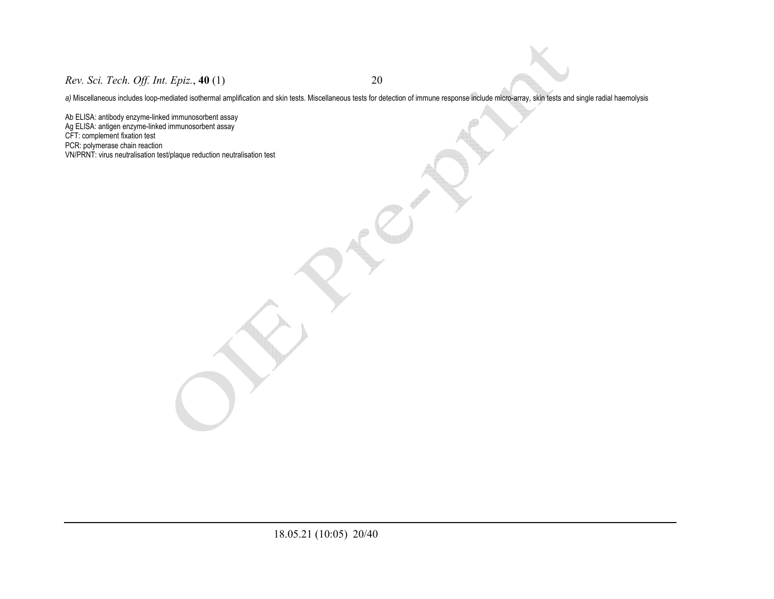*Rev. Sci. Tech. Off. Int. Epiz.*, **40** (1) 20

a) Miscellaneous includes loop-mediated isothermal amplification and skin tests. Miscellaneous tests for detection of immune response include micro-array, skin tests and single radial haemolysis

Ab ELISA: antibody enzyme-linked immunosorbent assay Ag ELISA: antigen enzyme-linked immunosorbent assay CFT: complement fixation test PCR: polymerase chain reaction VN/PRNT: virus neutralisation test/plaque reduction neutralisation test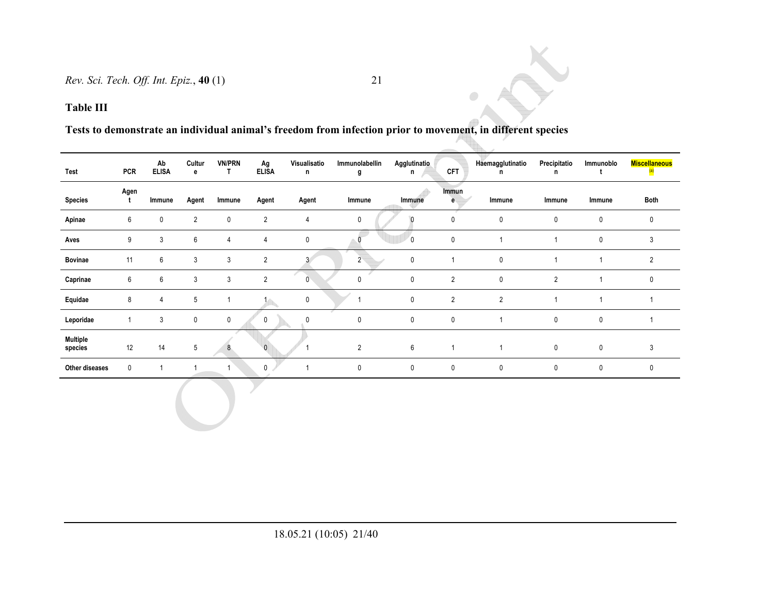# **Tests to demonstrate an individual animal's freedom from infection prior to movement, in different species**

| Test                       | <b>PCR</b>   | Ab<br><b>ELISA</b> | Cultur<br>e    | <b>VN/PRN</b><br>T | Ag<br><b>ELISA</b> | Visualisatio<br>n | Immunolabellin<br>g | Agglutinatio<br>n | <b>CFT</b>     | Haemagglutinatio<br>n | Precipitatio<br>n | Immunoblo<br>t | <b>Miscellaneous</b><br>$\left( a\right)$ |
|----------------------------|--------------|--------------------|----------------|--------------------|--------------------|-------------------|---------------------|-------------------|----------------|-----------------------|-------------------|----------------|-------------------------------------------|
| <b>Species</b>             | Agen<br>t    | Immune             | Agent          | Immune             | Agent              | Agent             | Immune              | Immune            | Immun<br>e     | Immune                | Immune            | Immune         | Both                                      |
| Apinae                     | 6            | $\mathbf 0$        | $\overline{2}$ | $\mathbf 0$        | $\overline{2}$     | $\overline{4}$    | $\mathbf 0$         |                   | $\mathbf 0$    | $\mathbf 0$           | $\mathbf 0$       | 0              | $\mathbf 0$                               |
| Aves                       | 9            | $\mathbf{3}$       | 6              | $\overline{4}$     | $\overline{4}$     | $\pmb{0}$         |                     | $\overline{0}$    | $\mathbf 0$    | $\mathbf{1}$          | $\overline{1}$    | 0              | 3                                         |
| <b>Bovinae</b>             | 11           | 6                  | $\mathbf{3}$   | $\mathbf{3}$       | $\overline{2}$     | 3 <sup>7</sup>    | $\overline{2}$      | 0                 |                | $\pmb{0}$             | $\overline{ }$    |                | $\overline{2}$                            |
| Caprinae                   | 6            | 6                  | $\mathbf{3}$   | 3                  | $\overline{2}$     | $\mathbf{0}$      | $\pmb{0}$           | $\pmb{0}$         | $\overline{2}$ | $\pmb{0}$             | $\overline{2}$    |                | $\mathbf 0$                               |
| Equidae                    | 8            | 4                  | $5\,$          | 1                  |                    | $\mathbf 0$       | 1                   | 0                 | $\overline{2}$ | $\sqrt{2}$            | 1                 |                |                                           |
| Leporidae                  | $\mathbf{1}$ | $\mathbf{3}$       | $\mathbf 0$    | $\mathbf 0$        | 0                  | 0                 | 0                   | 0                 | $\mathbf 0$    | $\mathbf{1}$          | 0                 | 0              |                                           |
| <b>Multiple</b><br>species | 12           | 14                 | $\sqrt{5}$     | 8                  | $\Omega$           |                   | $\overline{2}$      | 6                 | $\mathbf{1}$   | $\mathbf{1}$          | $\mathbf 0$       | $\mathbf 0$    | 3                                         |
| Other diseases             | $\mathbf 0$  | $\mathbf{1}$       | $\mathbf 1$    | 1                  | $\mathbf{0}$       | $\mathbf{1}$      | $\pmb{0}$           | 0                 | 0              | $\pmb{0}$             | 0                 | $\mathbf 0$    | $\mathbf 0$                               |
|                            |              |                    |                |                    |                    |                   |                     |                   |                |                       |                   |                |                                           |

 $\bigcirc$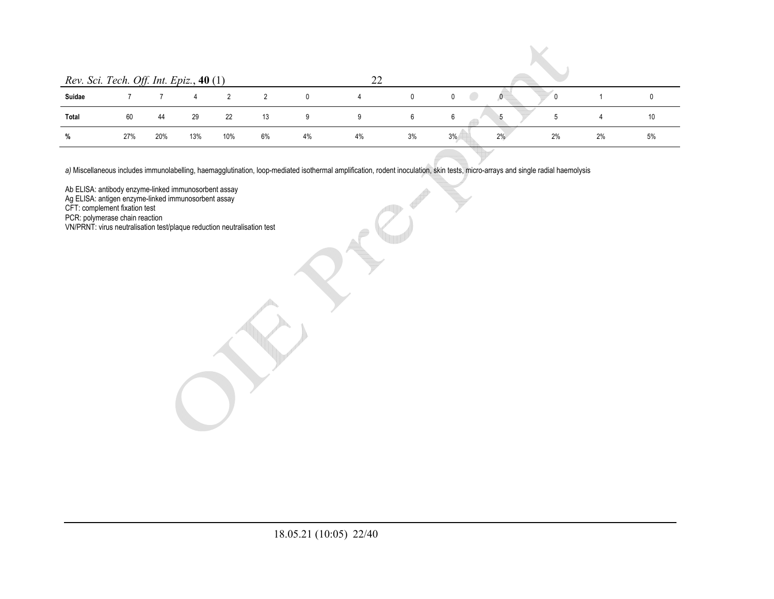| Rev. Sci. Tech. Off. Int. Epiz., 40 (1) |     |     |     |     |    |              | つつ |    |    |    |    |    |    |
|-----------------------------------------|-----|-----|-----|-----|----|--------------|----|----|----|----|----|----|----|
| Suidae                                  |     |     |     |     |    | $\mathbf{0}$ |    | 0  | 0  |    |    |    |    |
| Total                                   | 60  | 44  | 29  | 22  | 13 | 9            | 9  | 6  | 6  |    |    |    | 10 |
| %                                       | 27% | 20% | 13% | 10% | 6% | 4%           | 4% | 3% | 3% | 2% | 2% | 2% | 5% |

a) Miscellaneous includes immunolabelling, haemagglutination, loop-mediated isothermal amplification, rodent inoculation, skin tests, micro-arrays and single radial haemolysis

Ab ELISA: antibody enzyme-linked immunosorbent assay

Ag ELISA: antigen enzyme-linked immunosorbent assay

CFT: complement fixation test

PCR: polymerase chain reaction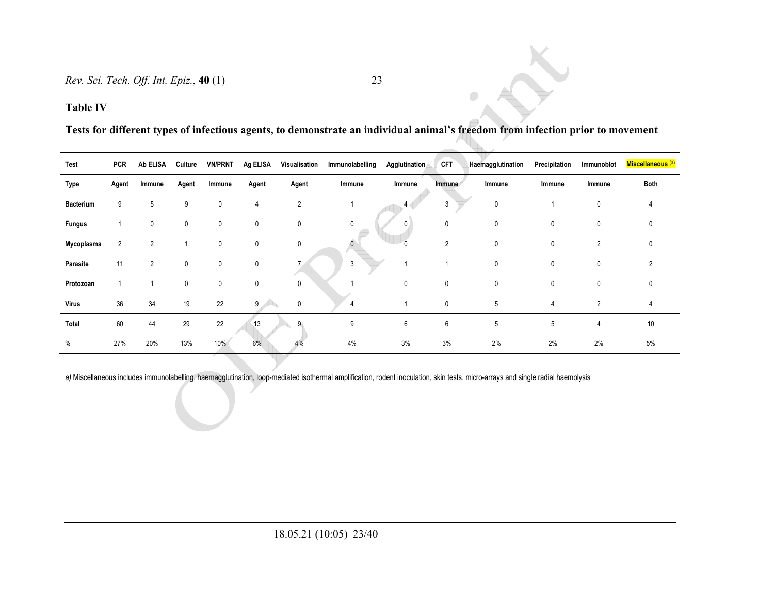### **Table IV**

**Tests for different types of infectious agents, to demonstrate an individual animal's freedom from infection prior to movement** 

 $\color{blue}{\bullet}$ 

| Test             | <b>PCR</b>     | <b>Ab ELISA</b> | Culture     | <b>VN/PRNT</b> | Ag ELISA    |                | Visualisation Immunolabelling | Agglutination    | <b>CFT</b>     | Haemagglutination | Precipitation | Immunoblot     | Miscellaneous <sup>(a)</sup> |
|------------------|----------------|-----------------|-------------|----------------|-------------|----------------|-------------------------------|------------------|----------------|-------------------|---------------|----------------|------------------------------|
| Type             | Agent          | Immune          | Agent       | Immune         | Agent       | Agent          | Immune                        | Immune           | <i>Immune</i>  | Immune            | Immune        | Immune         | Both                         |
| <b>Bacterium</b> | 9              | 5               | 9           | $\mathbf 0$    | 4           | $\overline{2}$ |                               | $4 \blacksquare$ | 3              | $\mathbf 0$       |               | 0              | 4                            |
| <b>Fungus</b>    |                | 0               | $\mathbf 0$ | $\mathbf 0$    | 0           | $\mathbf 0$    | 0                             | $\mathbf{0}$     | $\mathbf 0$    | $\mathbf{0}$      | 0             | 0              | 0                            |
| Mycoplasma       | $\overline{2}$ | $\overline{2}$  |             | $\mathbf 0$    | $\mathbf 0$ | 0              |                               |                  | $\overline{2}$ | $\mathbf{0}$      | 0             | $\overline{2}$ | 0                            |
| Parasite         | 11             | 2               | $\mathbf 0$ | $\mathbf 0$    | 0           |                | 3                             |                  |                | $\mathbf{0}$      | 0             | 0              | $\overline{2}$               |
| Protozoan        |                |                 | $\mathbf 0$ | $\mathbf 0$    | $\mathbf 0$ | 0              |                               | $\mathbf 0$      | $\mathbf 0$    | $\mathbf{0}$      | $\mathbf 0$   | 0              | 0                            |
| <b>Virus</b>     | 36             | 34              | 19          | 22             | 9           | $\mathbf 0$    | 4                             |                  | $\mathbf 0$    | 5                 | 4             | $\overline{2}$ | 4                            |
| Total            | 60             | 44              | 29          | 22             | 13          | 9 <sub>1</sub> | 9                             | 6                | 6              | 5                 | 5             | 4              | 10                           |
| %                | 27%            | 20%             | 13%         | 10%            | 6%          | 4%             | 4%                            | 3%               | 3%             | 2%                | 2%            | 2%             | 5%                           |

a) Miscellaneous includes immunolabelling, haemagglutination, loop-mediated isothermal amplification, rodent inoculation, skin tests, micro-arrays and single radial haemolysis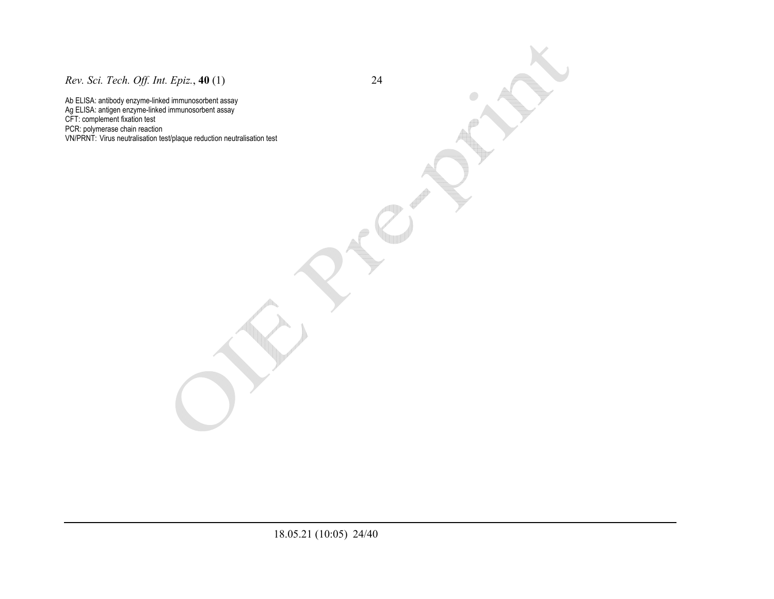*Rev. Sci. Tech. Off. Int. Epiz.*, **40** (1) 24

Ab ELISA: antibody enzyme-linked immunosorbent assay Ag ELISA: antigen enzyme-linked immunosorbent assay CFT: complement fixation test PCR: polymerase chain reaction VN/PRNT: Virus neutralisation test/plaque reduction neutralisation test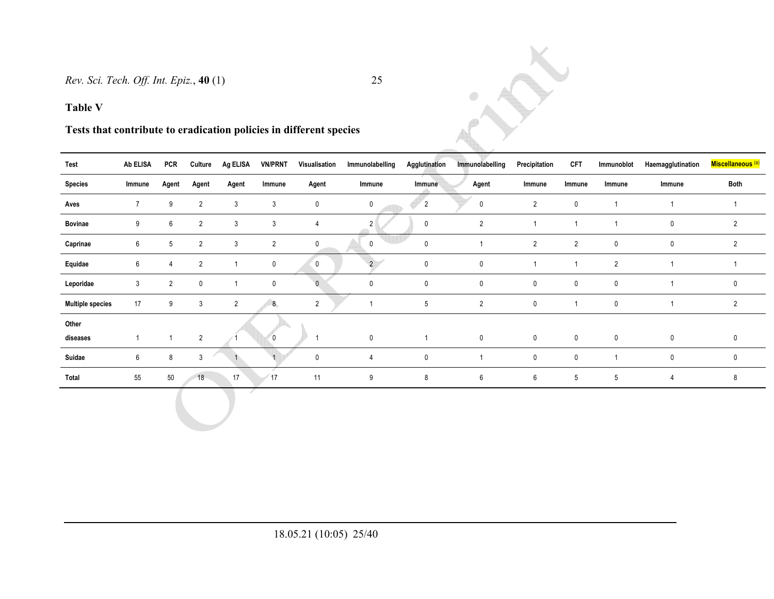### **Table V**

# **Tests that contribute to eradication policies in different species**

| Test                    | Ab ELISA       | PCR            | Culture        | Ag ELISA       | <b>VN/PRNT</b> | Visualisation  | Immunolabelling | Agglutination  | Immunolabelling  | Precipitation  | CFT            | Immunoblot     | Haemagglutination | Miscellaneous <sup>(a)</sup> |
|-------------------------|----------------|----------------|----------------|----------------|----------------|----------------|-----------------|----------------|------------------|----------------|----------------|----------------|-------------------|------------------------------|
| <b>Species</b>          | Immune         | Agent          | Agent          | Agent          | Immune         | Agent          | Immune          | Immune         | Agent            | Immune         | Immune         | Immune         | Immune            | <b>Both</b>                  |
| Aves                    | $\overline{7}$ | 9              | $\overline{2}$ | $\mathbf{3}$   | $\mathbf{3}$   | 0              | $\mathbf 0$     | $\overline{2}$ | 0                | $\overline{2}$ | $\mathbf 0$    |                | $\overline{1}$    | $\mathbf{1}$                 |
| Bovinae                 | 9              | 6              | $\overline{2}$ | $\mathbf{3}$   | $\mathbf{3}$   | $\overline{4}$ | 2 <sup>1</sup>  | $\mathbf 0$    | $\overline{2}$   |                |                |                | 0                 | $\overline{2}$               |
| Caprinae                | 6              | 5              | $\overline{2}$ | $\mathbf{3}$   | $\overline{2}$ | 0              | 0               | 0              |                  | $\overline{2}$ | $\overline{2}$ | $\mathbf 0$    | 0                 | $\overline{2}$               |
| Equidae                 | 6              | 4              | $\overline{2}$ |                | $\mathbf 0$    | $\mathbf 0$    | $\overline{2}$  | $\mathbf 0$    | $\pmb{0}$        | -1             |                | $\overline{2}$ | -1                |                              |
| Leporidae               | $\mathbf{3}$   | $\overline{2}$ | $\mathbf 0$    |                | $\mathbf 0$    | $\mathbf{0}$   | $\mathbf 0$     | $\mathbf 0$    | $\pmb{0}$        | $\mathbf 0$    | $\mathbf 0$    | $\mathbf 0$    | -1                | 0                            |
| <b>Multiple species</b> | 17             | 9              | $\mathbf{3}$   | $\overline{2}$ | 8 <sub>1</sub> | $\overline{2}$ |                 | 5              | $\overline{2}$   | $\mathbf 0$    | $\overline{1}$ | $\mathbf 0$    | -1                | $\overline{2}$               |
| Other<br>diseases       | $\mathbf{1}$   |                | $\overline{2}$ |                | $\overline{0}$ | ٠              | $\pmb{0}$       | $\overline{1}$ | $\mathbf 0$      | $\mathbf 0$    | $\mathbf 0$    | $\mathbf 0$    | $\mathbf 0$       | 0                            |
| Suidae                  | 6              | 8              | 3              |                |                | $\mathbf 0$    | $\overline{4}$  | 0              |                  | $\pmb{0}$      | $\mathbf 0$    |                | $\mathbf 0$       | $\mathsf{O}$                 |
| Total                   | 55             | $50\,$         | 18             | 17             | 17             | 11             | 9               | 8              | $\boldsymbol{6}$ | 6              | $\sqrt{5}$     | 5              | 4                 | 8                            |
|                         |                |                |                |                |                |                |                 |                |                  |                |                |                |                   |                              |

RX

 $\bullet$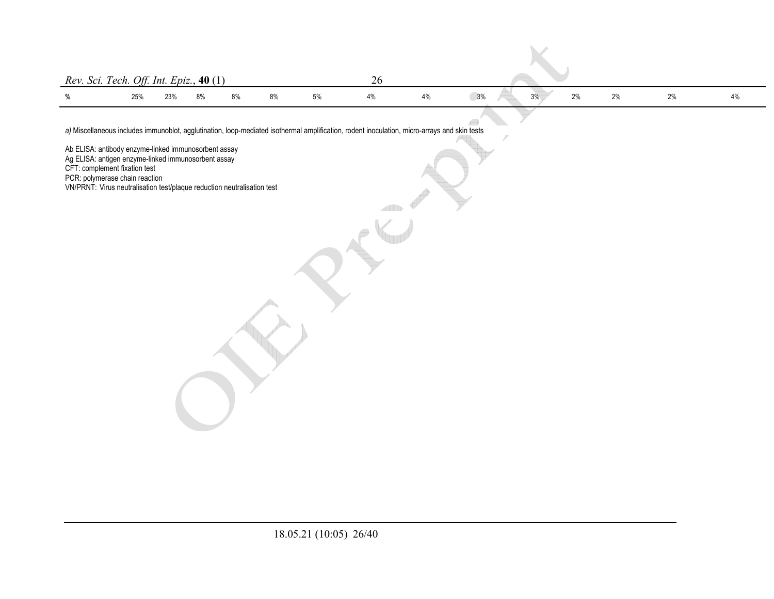| Rev. Sci. Tech. Off. Int. Epiz., $40(1)$ |     |     |    |    |    |    |  |                                           |  |
|------------------------------------------|-----|-----|----|----|----|----|--|-------------------------------------------|--|
|                                          |     |     |    |    |    |    |  |                                           |  |
| %                                        | 25% | 23% | 8% | 8% | 8% | 5% |  | 3%<br>2%<br>0 <sup>0</sup><br>3%<br>$2\%$ |  |

 $\mathbb{R}^2$ 

*a)* Miscellaneous includes immunoblot, agglutination, loop-mediated isothermal amplification, rodent inoculation, micro-arrays and skin tests

Ab ELISA: antibody enzyme-linked immunosorbent assay

Ag ELISA: antigen enzyme-linked immunosorbent assay

CFT: complement fixation test

PCR: polymerase chain reaction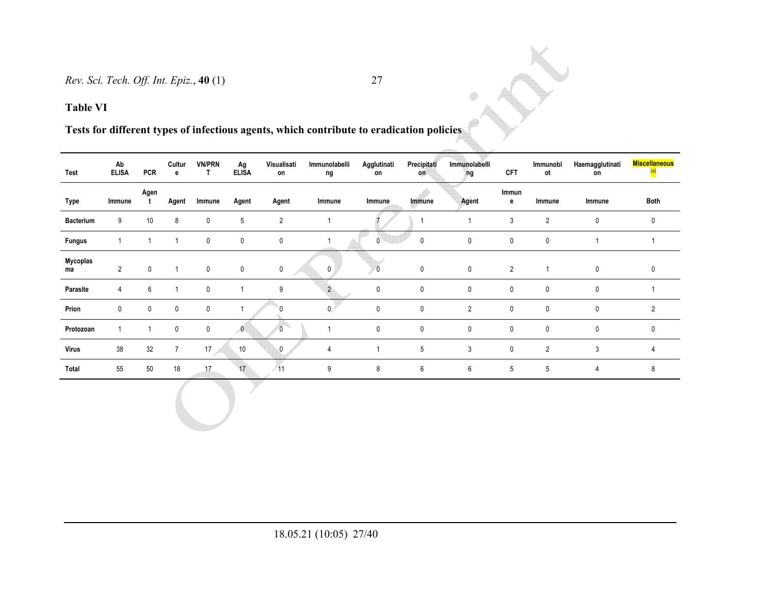**Tests for different types of infectious agents, which contribute to eradication policies** 

| <b>Test</b>      | Ab<br><b>ELISA</b> | <b>PCR</b>  | Cultur<br>e    | <b>VN/PRN</b><br>T. | Ag<br><b>ELISA</b>       | Visualisati<br>on | Immunolabelli<br>ng | Agglutinati<br>on | Precipitati<br>on | Immunolabelli<br>ng | <b>CFT</b>     | Immunobl<br>ot | Haemagglutinati<br>on | <b>Miscellaneous</b><br>$\overline{\bf (a)}$ |
|------------------|--------------------|-------------|----------------|---------------------|--------------------------|-------------------|---------------------|-------------------|-------------------|---------------------|----------------|----------------|-----------------------|----------------------------------------------|
| Type             | Immune             | Agen<br>t   | Agent          | Immune              | Agent                    | Agent             | Immune              | Immune            | Immune            | Agent               | Immun<br>e     | Immune         | Immune                | Both                                         |
| <b>Bacterium</b> | 9                  | 10          | 8              | 0                   | 5                        | $\overline{2}$    |                     |                   |                   |                     | 3              | $\overline{2}$ | $\mathbf{0}$          | 0                                            |
| <b>Fungus</b>    |                    |             |                | 0                   | 0                        | $\mathbf 0$       |                     | 0                 | 0                 | $\mathbf 0$         | $\mathbf 0$    | $\mathbf 0$    |                       |                                              |
| Mycoplas<br>ma   | $\overline{2}$     | $\mathbf 0$ |                | $\mathbf 0$         | $\mathbf 0$              | $\overline{0}$    | $\mathbf 0$         | $\overline{0}$    | $\mathbf 0$       | $\mathbf 0$         | $\overline{2}$ | 1              | $\mathbf 0$           | $\mathbf 0$                                  |
| Parasite         | 4                  | 6           |                | $\mathbf{0}$        |                          | 9                 | $\overline{2}$      | 0                 | $\mathbf{0}$      | $\mathbf 0$         | $\mathbf 0$    | $\mathbf 0$    | $\mathbf{0}$          |                                              |
| Prion            | $\mathbf 0$        | 0           | $\mathbf 0$    | 0                   |                          |                   | $\mathbf{0}$        | 0                 | $\mathbf 0$       | $\overline{2}$      | $\mathbf 0$    | $\mathbf 0$    | $\mathbf{0}$          | 2                                            |
| Protozoan        |                    |             | $\mathbf 0$    | 0                   | $\overline{\phantom{0}}$ | 0                 | 1                   | 0                 | $\mathbf 0$       | $\pmb{0}$           | $\mathbf 0$    | $\mathbf 0$    | $\mathbf{0}$          | 0                                            |
| <b>Virus</b>     | $38\,$             | 32          | $\overline{7}$ | 17                  | 10                       | 0                 | 4                   |                   | 5                 | 3                   | $\mathbf 0$    | $\overline{2}$ | 3                     | $\overline{4}$                               |
| Total            | 55                 | 50          | 18             | 17                  | 17                       | /11               | 9                   | 8                 | 6                 | 6                   | 5              | 5              | $\overline{4}$        | 8                                            |

 $\bullet$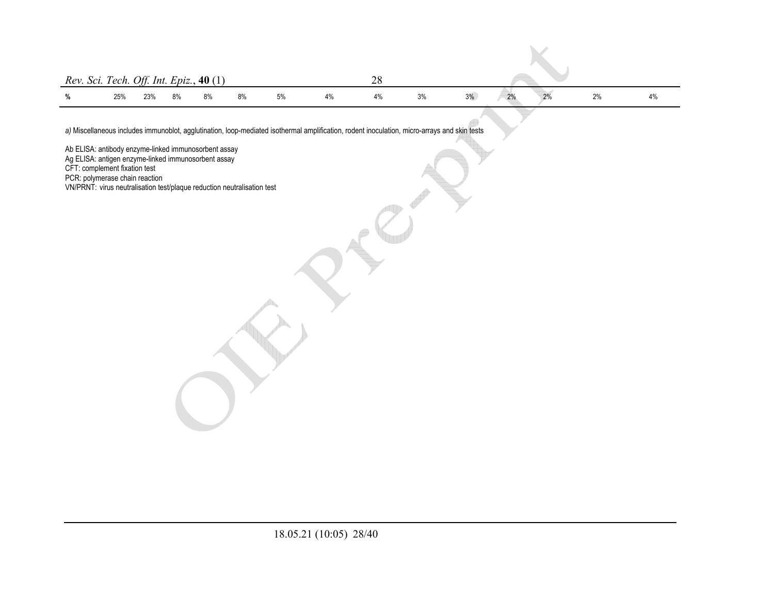| Rev. Sci. Tech. Off. Int. Epiz., 40 (1) |     |     |    |    |    |    |    |    |    |    |    |  |
|-----------------------------------------|-----|-----|----|----|----|----|----|----|----|----|----|--|
| %                                       | 25% | 23% | 8% | 8% | 8% | 5% | 4% | 3% | 3% | 2% | 2% |  |

*a)* Miscellaneous includes immunoblot, agglutination, loop-mediated isothermal amplification, rodent inoculation, micro-arrays and skin tests

Ab ELISA: antibody enzyme-linked immunosorbent assay

Ag ELISA: antigen enzyme-linked immunosorbent assay

CFT: complement fixation test

PCR: polymerase chain reaction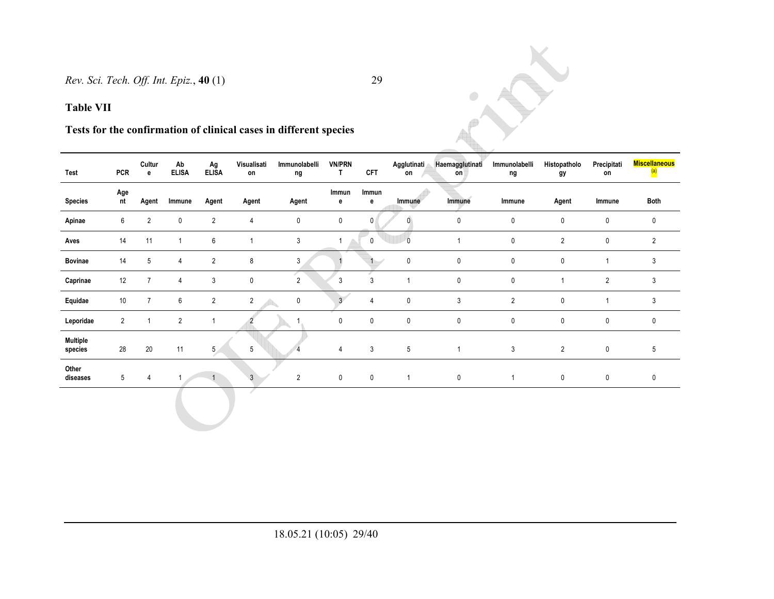### **Table VII**

# **Tests for the confirmation of clinical cases in different species**

| Test                       | <b>PCR</b>      | Cultur<br>e    | Ab<br><b>ELISA</b> | Ag<br><b>ELISA</b> | Visualisati<br>on | Immunolabelli<br>ng | <b>VN/PRN</b><br>T. | <b>CFT</b>     | Agglutinati<br>on | Haemagglutinati<br>on | Immunolabelli<br>ng | Histopatholo<br>gy | Precipitati<br>on | <b>Miscellaneous</b><br>$\overline{\mathbf{a}}$ |
|----------------------------|-----------------|----------------|--------------------|--------------------|-------------------|---------------------|---------------------|----------------|-------------------|-----------------------|---------------------|--------------------|-------------------|-------------------------------------------------|
| <b>Species</b>             | Age<br>nt       | Agent          | Immune             | Agent              | Agent             | Agent               | Immun<br>е          | Immun<br>е     | Immune            | Immune                | Immune              | Agent              | Immune            | Both                                            |
| Apinae                     | 6               | $\overline{2}$ | $\mathbf 0$        | $\overline{2}$     | 4                 | $\mathbf 0$         | 0                   | $\mathbf{0}$   | $\overline{0}$    | 0                     | 0                   | $\mathbf{0}$       | 0                 | $\mathbf 0$                                     |
| Aves                       | 14              | 11             |                    | 6                  | 1                 | 3                   |                     | $\mathbf 0$    | $\Omega$          | 1                     | $\mathbf 0$         | $\overline{2}$     | 0                 | $\overline{2}$                                  |
| <b>Bovinae</b>             | 14              | 5              | $\overline{4}$     | $\overline{2}$     | 8                 | 3                   |                     |                | $\pmb{0}$         | $\mathbf 0$           | 0                   | $\mathbf{0}$       |                   | 3                                               |
| Caprinae                   | 12              |                | $\overline{4}$     | 3                  | 0                 | 2                   | 3                   | 3              |                   | $\pmb{0}$             | $\mathbf{0}$        |                    | $\overline{2}$    | 3                                               |
| Equidae                    | 10              |                | 6                  | $\overline{2}$     | $\overline{2}$    | $\mathbf 0$         | 3 <sup>7</sup>      | $\overline{4}$ | $\mathbf 0$       | 3                     | $\overline{2}$      | $\mathbf{0}$       |                   | 3                                               |
| Leporidae                  | $\overline{2}$  |                | $\overline{2}$     | 1                  |                   |                     | $\mathbf 0$         | $\mathbf{0}$   | $\pmb{0}$         | $\mathbf 0$           | $\mathbf 0$         | $\mathbf 0$        | 0                 | $\mathbf 0$                                     |
| <b>Multiple</b><br>species | 28              | 20             | 11                 | 5 <sub>1</sub>     | 5                 |                     | 4                   | 3              | 5                 | $\mathbf{1}$          | 3                   | $\overline{2}$     | 0                 | 5                                               |
| Other<br>diseases          | $5\overline{)}$ | $\overline{4}$ |                    |                    | 3                 | 2                   | 0                   | $\mathbf 0$    |                   | $\mathbf 0$           |                     | $\mathbf 0$        | 0                 | $\mathbf 0$                                     |
|                            |                 |                |                    |                    |                   |                     |                     |                |                   |                       |                     |                    |                   |                                                 |

 $\bullet$ 

Y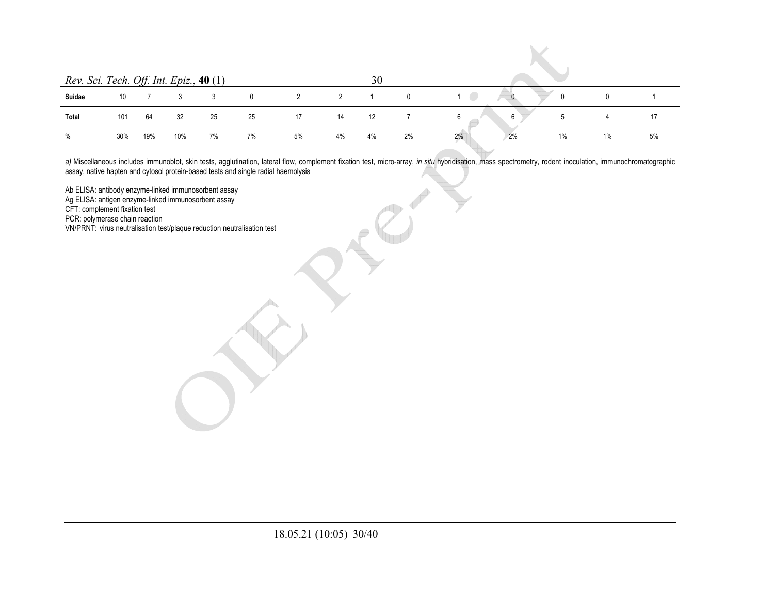| Rev. Sci. Tech. Off. Int. Epiz., 40 (1) |     |     |     |    |            |                |    | 30 |    |          |             |    |    |
|-----------------------------------------|-----|-----|-----|----|------------|----------------|----|----|----|----------|-------------|----|----|
| Suidae                                  | 10  |     |     |    | $^{\circ}$ | $\overline{2}$ | 2  |    |    | - 1999   | $\Omega$    |    |    |
| Total                                   | 101 | 64  | 32  | 25 | 25         | 17             | 14 | 12 |    | 6<br>6   | $\mathbf b$ | 4  | 17 |
| %                                       | 30% | 19% | 10% | 7% | 7%         | 5%             | 4% | 4% | 2% | 2%<br>2% | 1%          | 1% | 5% |

*a)* Miscellaneous includes immunoblot, skin tests, agglutination, lateral flow, complement fixation test, micro-array, *in situ* hybridisation, mass spectrometry, rodent inoculation, immunochromatographic assay, native hapten and cytosol protein-based tests and single radial haemolysis

Ab ELISA: antibody enzyme-linked immunosorbent assay

Ag ELISA: antigen enzyme-linked immunosorbent assay

CFT: complement fixation test

PCR: polymerase chain reaction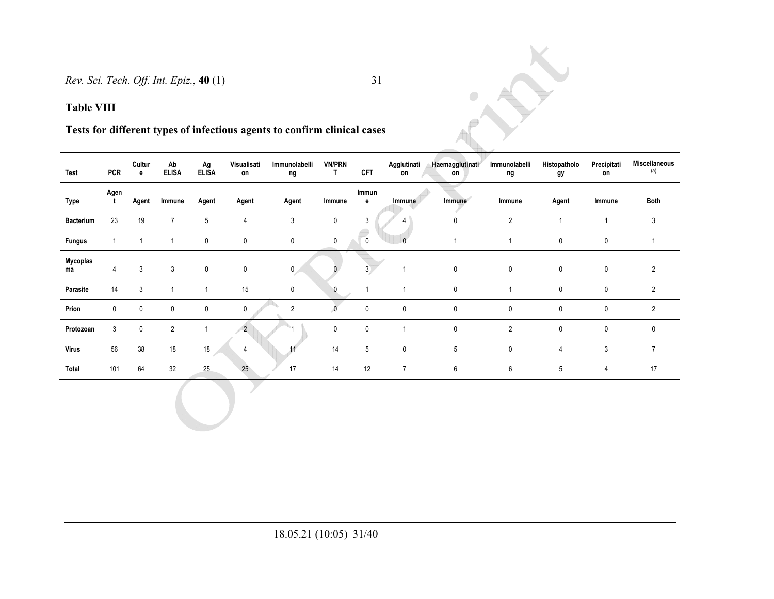# **Tests for different types of infectious agents to confirm clinical cases**

| Test             | <b>PCR</b>  | Cultur<br>е | Ab<br><b>ELISA</b> | Ag<br><b>ELISA</b> | Visualisati<br>on | Immunolabelli<br>ng | <b>VN/PRN</b><br>T. | <b>CFT</b>  | Agglutinati<br>on | Haemagglutinati<br>on | Immunolabelli<br>ng | Histopatholo<br>gy | Precipitati<br>on | <b>Miscellaneous</b><br>(a) |
|------------------|-------------|-------------|--------------------|--------------------|-------------------|---------------------|---------------------|-------------|-------------------|-----------------------|---------------------|--------------------|-------------------|-----------------------------|
| Type             | Agen<br>t   | Agent       | Immune             | Agent              | Agent             | Agent               | Immune              | Immun<br>е  | Immune            | Immune                | Immune              | Agent              | Immune            | Both                        |
| <b>Bacterium</b> | 23          | 19          | $\overline{7}$     | 5                  | 4                 | 3                   | 0                   | 3           |                   | 0                     | $\overline{2}$      |                    |                   | 3                           |
| <b>Fungus</b>    |             |             |                    | 0                  | $\pmb{0}$         | 0                   | 0                   | $\mathbf 0$ | $\theta$          |                       |                     | 0                  | 0                 |                             |
| Mycoplas<br>ma   | 4           | 3           | 3                  | $\mathbf 0$        | $\pmb{0}$         | $\overline{0}$      |                     | 3           |                   | $\mathbf 0$           | $\mathbf 0$         | $\mathbf 0$        | $\mathbf 0$       | 2                           |
| Parasite         | 14          | 3           |                    |                    | 15                | 0                   | 0                   |             |                   | 0                     |                     | 0                  | $\mathbf 0$       | $\overline{2}$              |
| Prion            | $\mathbf 0$ | 0           | 0                  | $\mathbf 0$        | 0                 | 2                   |                     | $\pmb{0}$   | $\pmb{0}$         | $\mathbf 0$           | $\mathbf 0$         | 0                  | 0                 | $\overline{2}$              |
| Protozoan        | 3           | 0           | $\overline{2}$     |                    | $\overline{2}$    |                     | $\mathbf 0$         | 0           |                   | 0                     | $\overline{2}$      | 0                  | 0                 | $\mathbf 0$                 |
| <b>Virus</b>     | 56          | 38          | 18                 | $18$               | 4                 |                     | 14                  | 5           | 0                 | 5                     | $\mathbf 0$         | $\overline{4}$     | 3                 | $\overline{7}$              |
| Total            | 101         | 64          | 32                 | 25                 | 25                | 17                  | 14                  | 12          | $\overline{7}$    | 6                     | 6                   | 5                  | 4                 | 17                          |

Y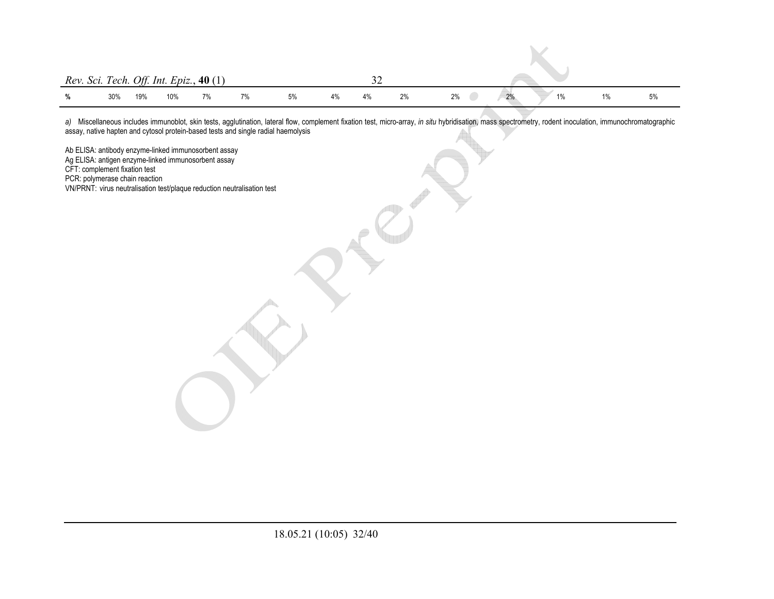|               | Rev. Sci. Tech. Off. Int. Epiz., $40(1)$ |     |     |    |    |    |    |    |    |       |    |       |  |    |  |  |  |
|---------------|------------------------------------------|-----|-----|----|----|----|----|----|----|-------|----|-------|--|----|--|--|--|
| $\frac{0}{n}$ | 30%                                      | 19% | 10% | 7% | 7% | 5% | 4% | 4% | 2% | $2\%$ | 2% | $1\%$ |  | 5% |  |  |  |

*a)* Miscellaneous includes immunoblot, skin tests, agglutination, lateral flow, complement fixation test, micro-array, *in situ* hybridisation, mass spectrometry, rodent inoculation, immunochromatographic assay, native hapten and cytosol protein-based tests and single radial haemolysis

Ab ELISA: antibody enzyme-linked immunosorbent assay Ag ELISA: antigen enzyme-linked immunosorbent assay CFT: complement fixation test PCR: polymerase chain reaction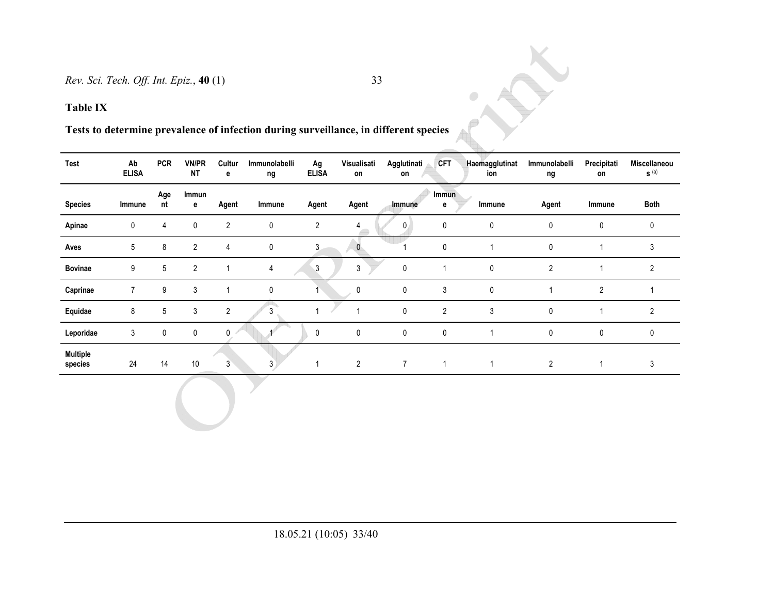**Tests to determine prevalence of infection during surveillance, in different species** 

 $\bigcup$ 

| Test                       | Ab<br><b>ELISA</b> | <b>PCR</b> | <b>VN/PR</b><br><b>NT</b> | Cultur<br>е    | Immunolabelli<br>ng | Ag<br><b>ELISA</b> | Visualisati<br>on | Agglutinati<br>on | <b>CFT</b>     | Haemagglutinat<br>ion | Immunolabelli<br>ng | Precipitati<br>on | Miscellaneou<br>$S^{(a)}$ |
|----------------------------|--------------------|------------|---------------------------|----------------|---------------------|--------------------|-------------------|-------------------|----------------|-----------------------|---------------------|-------------------|---------------------------|
| <b>Species</b>             | Immune             | Age<br>nt  | Immun<br>е                | Agent          | Immune              | Agent              | Agent             | Immune            | Immun<br>е     | Immune                | Agent               | Immune            | Both                      |
| Apinae                     | 0                  | 4          | 0                         | 2              | 0                   | $\mathbf{2}$       | 4                 | $\mathbf{0}$      | 0              | 0                     | 0                   | 0                 | 0                         |
| Aves                       | 5                  | 8          | $\overline{c}$            | 4              | 0                   | 3                  | $\mathbf{0}$      |                   | 0              |                       | $\mathbf{0}$        |                   | 3                         |
| <b>Bovinae</b>             | 9                  | 5          | $\overline{2}$            |                | 4                   | 3                  | 3                 | $\mathbf{0}$      |                | 0                     | $\overline{2}$      |                   | $\overline{2}$            |
| Caprinae                   |                    | 9          | 3                         |                | 0                   |                    | 0                 | 0                 | 3              | 0                     |                     | 2                 |                           |
| Equidae                    | 8                  | 5          | 3                         | $\overline{2}$ | 3                   |                    | 4                 | $\mathbf{0}$      | $\overline{2}$ | 3                     | 0                   |                   | $\overline{2}$            |
| Leporidae                  | 3                  | 0          | 0                         | $\mathbf{0}$   |                     | 0                  | 0                 | 0                 | 0              |                       | 0                   | 0                 | 0                         |
| <b>Multiple</b><br>species | 24                 | 14         | 10                        | $3^{\circ}$    | $\mathbf{3}$        |                    | $\overline{2}$    | $\overline{7}$    | 1              | $\mathbf{1}$          | $\overline{2}$      | 1                 | 3                         |

 $\bullet$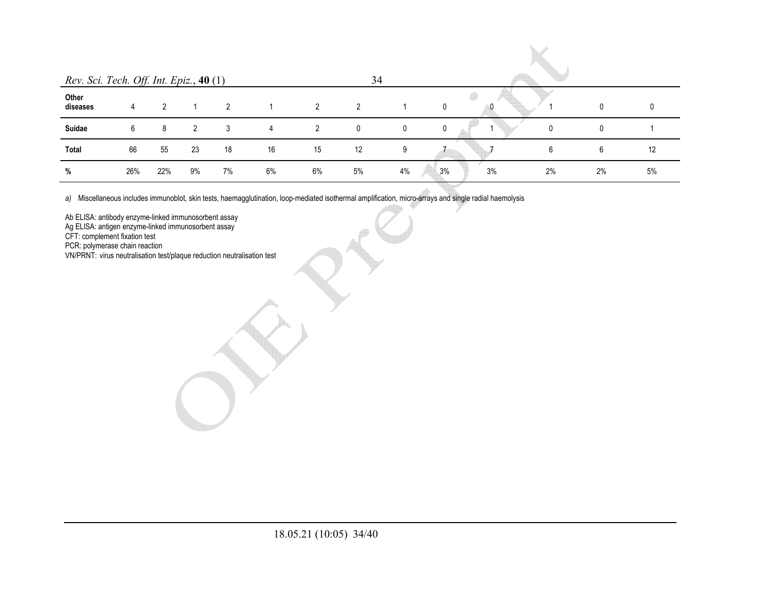|                                         |     |     |    |    |    |    | 34             |    |          |    |              |    |
|-----------------------------------------|-----|-----|----|----|----|----|----------------|----|----------|----|--------------|----|
| Rev. Sci. Tech. Off. Int. Epiz., 40 (1) |     |     |    |    |    |    |                |    |          |    |              |    |
| Other<br>diseases                       | 4   | 2   |    | 2  | 1  | 2  | $\overline{2}$ |    | 0<br>0   |    | $\mathbf{0}$ | 0  |
| Suidae                                  | 6   | 8   | 2  | 3  | 4  | 2  | 0              | 0  | 0        | 0  | 0            |    |
| <b>Total</b>                            | 66  | 55  | 23 | 18 | 16 | 15 | 12             | 9  |          | 6  | 6            | 12 |
| %                                       | 26% | 22% | 9% | 7% | 6% | 6% | 5%             | 4% | 3%<br>3% | 2% | 2%           | 5% |

*a)* Miscellaneous includes immunoblot, skin tests, haemagglutination, loop-mediated isothermal amplification, micro-arrays and single radial haemolysis

Ab ELISA: antibody enzyme-linked immunosorbent assay

Ag ELISA: antigen enzyme-linked immunosorbent assay

CFT: complement fixation test

PCR: polymerase chain reaction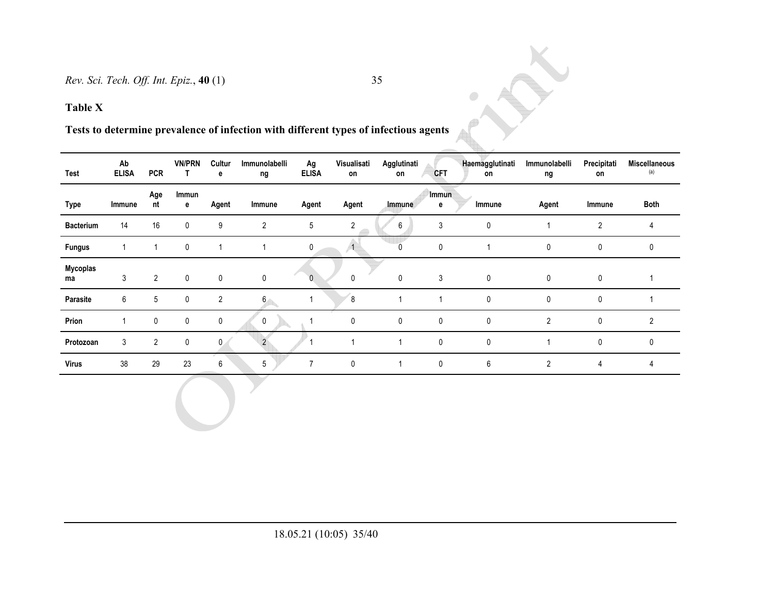**Tests to determine prevalence of infection with different types of infectious agents** 

| Test             | Ab<br><b>ELISA</b> | <b>PCR</b>     | <b>VN/PRN</b><br>Ι. | Cultur<br>е    | Immunolabelli<br>ng | Ag<br><b>ELISA</b> | Visualisati<br>on | Agglutinati<br>on | <b>CFT</b> | Haemagglutinati<br>on | Immunolabelli<br>ng | Precipitati<br>on | <b>Miscellaneous</b><br>(a) |
|------------------|--------------------|----------------|---------------------|----------------|---------------------|--------------------|-------------------|-------------------|------------|-----------------------|---------------------|-------------------|-----------------------------|
| <b>Type</b>      | Immune             | Age<br>nt      | Immun<br>е          | Agent          | Immune              | Agent              | Agent             | Immune            | Immun<br>е | Immune                | Agent               | Immune            | Both                        |
| <b>Bacterium</b> | 14                 | 16             | $\mathbf 0$         | 9              | $\overline{2}$      | 5                  | $\overline{2}$    | 6                 | 3          | $\mathbf{0}$          |                     | $\overline{2}$    | 4                           |
| <b>Fungus</b>    |                    |                | 0                   |                |                     | 0                  |                   |                   | 0          |                       | 0                   | 0                 | 0                           |
| Mycoplas<br>ma   | 3                  | $\overline{2}$ | $\mathbf{0}$        | $\mathbf{0}$   | $\mathbf 0$         | $\mathbf{0}$       | $\Omega$          | $\mathbf{0}$      | 3          | $\mathbf 0$           | $\mathbf{0}$        | $\Omega$          |                             |
| Parasite         | 6                  | 5              | $\mathbf 0$         | $\overline{2}$ | 6 <sub>1</sub>      |                    | 8                 |                   |            | $\mathbf 0$           | $\mathbf 0$         | 0                 |                             |
| Prion            |                    | 0              | 0                   | 0              | 0                   |                    | 0                 | 0                 | 0          | 0                     | $\overline{2}$      | 0                 | $\overline{2}$              |
| Protozoan        | 3                  | $\overline{2}$ | $\mathbf 0$         | $\mathbf{0}$   | $\overline{2}$      |                    |                   |                   | 0          | $\mathbf{0}$          |                     | 0                 | 0                           |
| Virus            | 38                 | 29             | 23                  | 6              | 5                   | $\overline{7}$     | 0                 | 1                 | 0          | 6                     | $\overline{2}$      | 4                 | 4                           |

 $\bullet$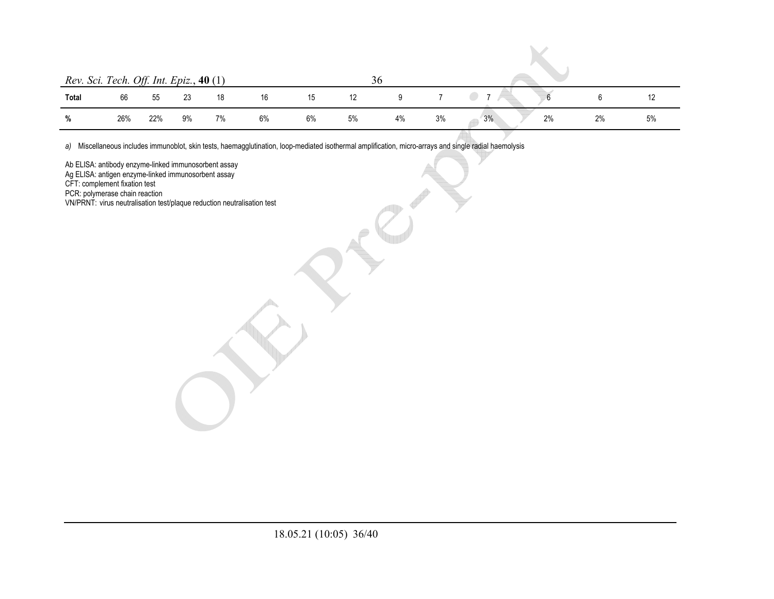|       | Rev. Sci. Tech. Off. Int. Epiz., 40 (1) |     |    |    |    |    |    | 36 |    |                |    |    |  |  |
|-------|-----------------------------------------|-----|----|----|----|----|----|----|----|----------------|----|----|--|--|
| Total | 66                                      | 55  | 23 | 18 | 16 | 15 | 12 |    |    | $\overline{z}$ |    |    |  |  |
| %     | 26%                                     | 22% | 9% | 7% | 6% | 6% | 5% | 4% | 3% | 3%<br>2%       | 2% | 5% |  |  |

 $\mathcal{L}$ 

*a)* Miscellaneous includes immunoblot, skin tests, haemagglutination, loop-mediated isothermal amplification, micro-arrays and single radial haemolysis

Ab ELISA: antibody enzyme-linked immunosorbent assay

Ag ELISA: antigen enzyme-linked immunosorbent assay

CFT: complement fixation test

PCR: polymerase chain reaction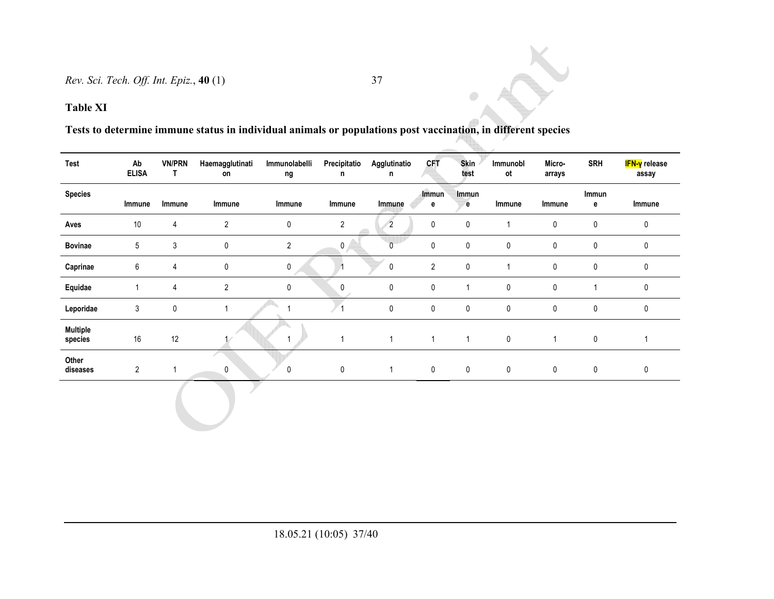**Table XI** 

# **Tests to determine immune status in individual animals or populations post vaccination, in different species**

| <b>Test</b>                | Ab<br><b>ELISA</b> | <b>VN/PRN</b><br>T | Haemagglutinati<br>on | Immunolabelli<br>ng | Precipitatio<br>n | Agglutinatio<br>n | <b>CFT</b>        | <b>Skin</b><br>test | Immunobl<br>ot | Micro-<br>arrays | <b>SRH</b>       | <mark>IFN-γ</mark> release<br>assay |
|----------------------------|--------------------|--------------------|-----------------------|---------------------|-------------------|-------------------|-------------------|---------------------|----------------|------------------|------------------|-------------------------------------|
| <b>Species</b>             | Immune             | Immune             | Immune                | Immune              | Immune            | Immune            | <b>Immun</b><br>e | Immun<br>e          | Immune         | Immune           | Immun<br>e       | Immune                              |
| Aves                       | $10$               | 4                  | $\overline{2}$        | $\pmb{0}$           | $\overline{2}$    | $\overline{2}$    | 0                 | 0                   |                | 0                | $\pmb{0}$        | 0                                   |
| <b>Bovinae</b>             | 5                  | 3                  | $\pmb{0}$             | $\overline{2}$      | $\pmb{0}$         | $\mathbf 0$       | 0                 | $\mathbf 0$         | 0              | 0                | 0                | 0                                   |
| Caprinae                   | 6                  | 4                  | $\mathbf 0$           | $\mathbf 0$         | $\mathbf{1}$      | 0                 | $\overline{2}$    | $\mathbf 0$         |                | $\pmb{0}$        | $\pmb{0}$        | $\mathbf 0$                         |
| Equidae                    | 1                  | 4                  | $\overline{2}$        | $\pmb{0}$           | 0                 | 0                 | $\pmb{0}$         | 1                   | 0              | $\pmb{0}$        | 1                | $\mathbf 0$                         |
| Leporidae                  | 3                  | 0                  |                       |                     |                   | 0                 | 0                 | $\mathbf 0$         | $\pmb{0}$      | 0                | $\pmb{0}$        | $\mathbf 0$                         |
| <b>Multiple</b><br>species | $16\,$             | 12                 |                       | 1                   | $\mathbf{1}$      | $\mathbf{1}$      | $\mathbf{1}$      | $\mathbf{1}$        | $\pmb{0}$      | $\mathbf{1}$     | $\pmb{0}$        |                                     |
| Other<br>diseases          | $\overline{2}$     | 1                  | 0                     | 0                   | $\pmb{0}$         | $\mathbf{1}$      | $\mathbf 0$       | $\pmb{0}$           | $\pmb{0}$      | $\pmb{0}$        | $\boldsymbol{0}$ | 0                                   |
|                            |                    |                    |                       |                     |                   |                   |                   |                     |                |                  |                  |                                     |

 $\odot$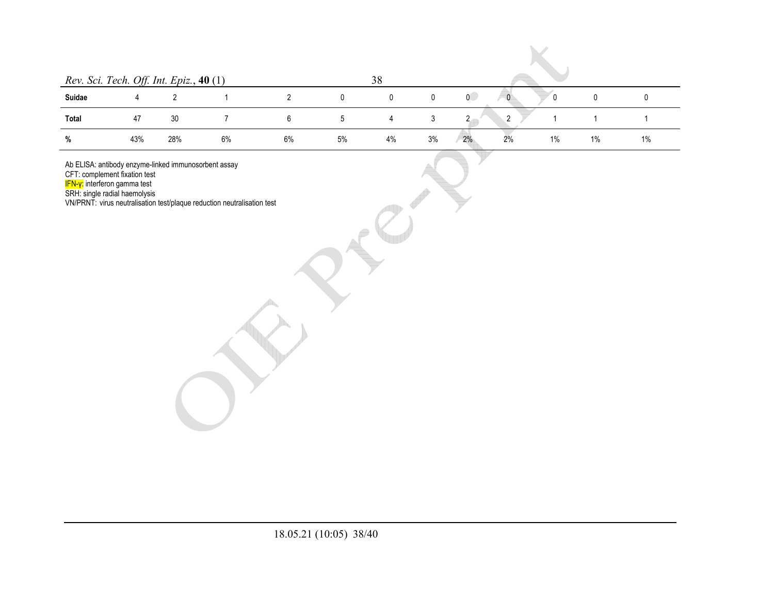| Rev. Sci. Tech. Off. Int. Epiz., 40 (1) |     |     |    |    |    | 38 |    |                |    |    |    |    |  |
|-----------------------------------------|-----|-----|----|----|----|----|----|----------------|----|----|----|----|--|
| Suidae                                  |     |     |    |    | 0  | 0  | 0  | $\overline{0}$ |    | 0  |    |    |  |
| Total                                   | 47  | 30  |    |    | 5  |    | 3  | റ              | ົ  |    |    |    |  |
| %                                       | 43% | 28% | 6% | 6% | 5% | 4% | 3% | 2%             | 2% | 1% | 1% | 1% |  |

Ab ELISA: antibody enzyme-linked immunosorbent assay

CFT: complement fixation test

IFN-γ: interferon gamma test

SRH: single radial haemolysis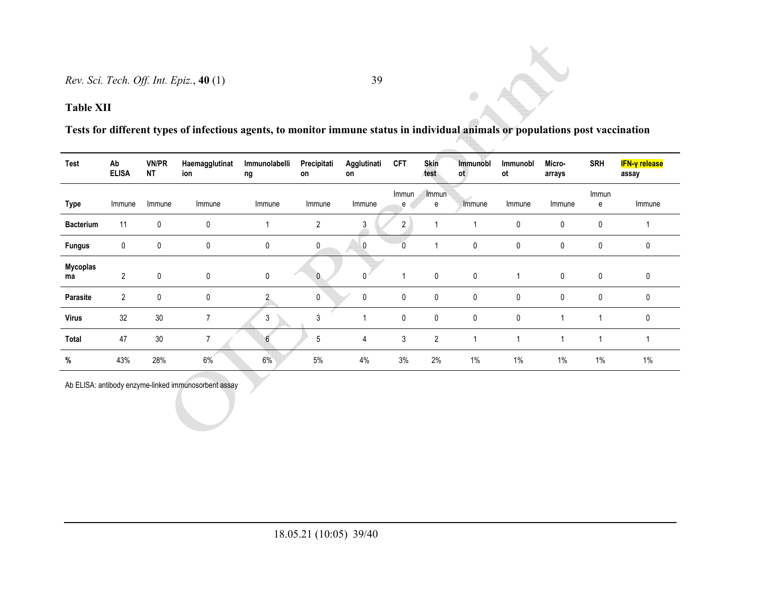**Tests for different types of infectious agents, to monitor immune status in individual animals or populations post vaccination** 

 $\color{black} \bullet$ 

| <b>Test</b>      | Ab<br><b>ELISA</b> | <b>VN/PR</b><br><b>NT</b> | Haemagglutinat<br>ion | Immunolabelli<br>ng | Precipitati<br>on | Agglutinati<br>on | <b>CFT</b> | <b>Skin</b><br>test | Immunobl<br>ot | Immunobl<br>ot | Micro-<br>arrays | <b>SRH</b>  | IFN-γ release<br>assay |
|------------------|--------------------|---------------------------|-----------------------|---------------------|-------------------|-------------------|------------|---------------------|----------------|----------------|------------------|-------------|------------------------|
| Type             | Immune             | Immune                    | Immune                | Immune              | Immune            | Immune            | Immun<br>е | Immun<br>е          | Immune         | Immune         | Immune           | Immun<br>е  | Immune                 |
| <b>Bacterium</b> | 11                 | 0                         | $\mathbf{0}$          |                     | 2                 | 3                 | 2          |                     |                | $\mathbf{0}$   | $\mathbf 0$      | 0           |                        |
| <b>Fungus</b>    | 0                  | $\mathbf 0$               | $\mathbf 0$           | 0                   | 0                 | 0                 | 0          |                     | 0              | 0              | $\mathbf 0$      | 0           | 0                      |
| Mycoplas<br>ma   | $\overline{2}$     | $\mathbf{0}$              | $\mathbf{0}$          | 0                   | $\mathbf{0}$      |                   |            | $\mathbf 0$         | 0              |                | $\mathbf 0$      | $\mathbf 0$ | 0                      |
| Parasite         | $\overline{2}$     | 0                         | $\mathbf 0$           |                     | 0                 | $\mathbf 0$       | 0          | 0                   | 0              | $\mathbf{0}$   | $\mathbf 0$      | $\mathbf 0$ | 0                      |
| <b>Virus</b>     | 32                 | 30                        | 7                     | 3                   | 3                 |                   | 0          | $\mathbf 0$         | 0              | $\mathbf{0}$   |                  | 4           | 0                      |
| Total            | 47                 | 30                        |                       | 6                   | 5                 | 4                 | 3          | $\overline{2}$      |                |                |                  | 4           |                        |
| %                | 43%                | 28%                       | 6%                    | 6%                  | 5%                | 4%                | 3%         | 2%                  | $1\%$          | $1\%$          | $1\%$            | $1\%$       | 1%                     |

Ab ELISA: antibody enzyme-linked immunosorbent assay